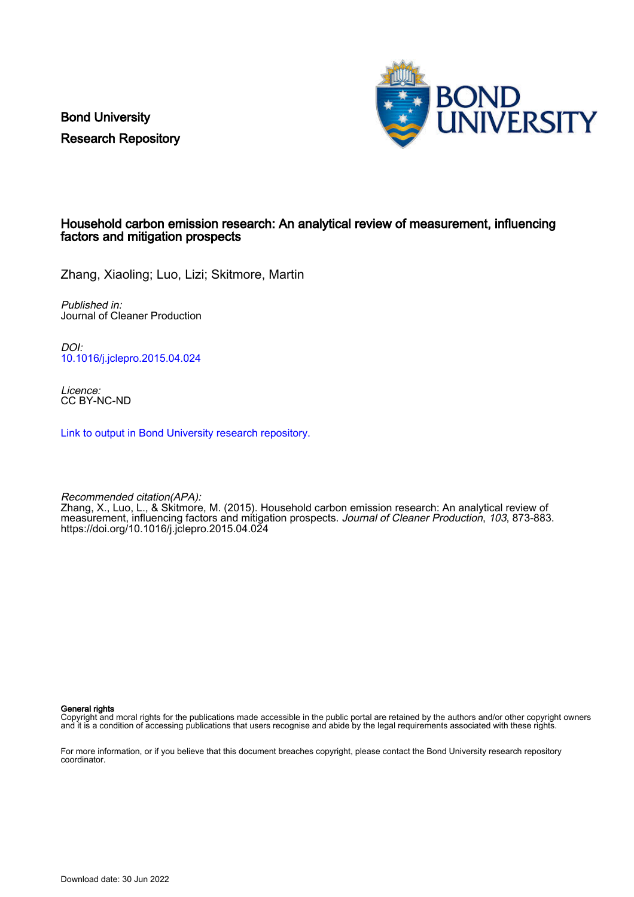Bond University Research Repository



# Household carbon emission research: An analytical review of measurement, influencing factors and mitigation prospects

Zhang, Xiaoling; Luo, Lizi; Skitmore, Martin

Published in: Journal of Cleaner Production

DOI: [10.1016/j.jclepro.2015.04.024](https://doi.org/10.1016/j.jclepro.2015.04.024)

Licence: CC BY-NC-ND

[Link to output in Bond University research repository.](https://research.bond.edu.au/en/publications/12cb3811-7e05-4d54-80e8-cafb14d19693)

Recommended citation(APA): Zhang, X., Luo, L., & Skitmore, M. (2015). Household carbon emission research: An analytical review of measurement, influencing factors and mitigation prospects. Journal of Cleaner Production, 103, 873-883. <https://doi.org/10.1016/j.jclepro.2015.04.024>

General rights

Copyright and moral rights for the publications made accessible in the public portal are retained by the authors and/or other copyright owners and it is a condition of accessing publications that users recognise and abide by the legal requirements associated with these rights.

For more information, or if you believe that this document breaches copyright, please contact the Bond University research repository coordinator.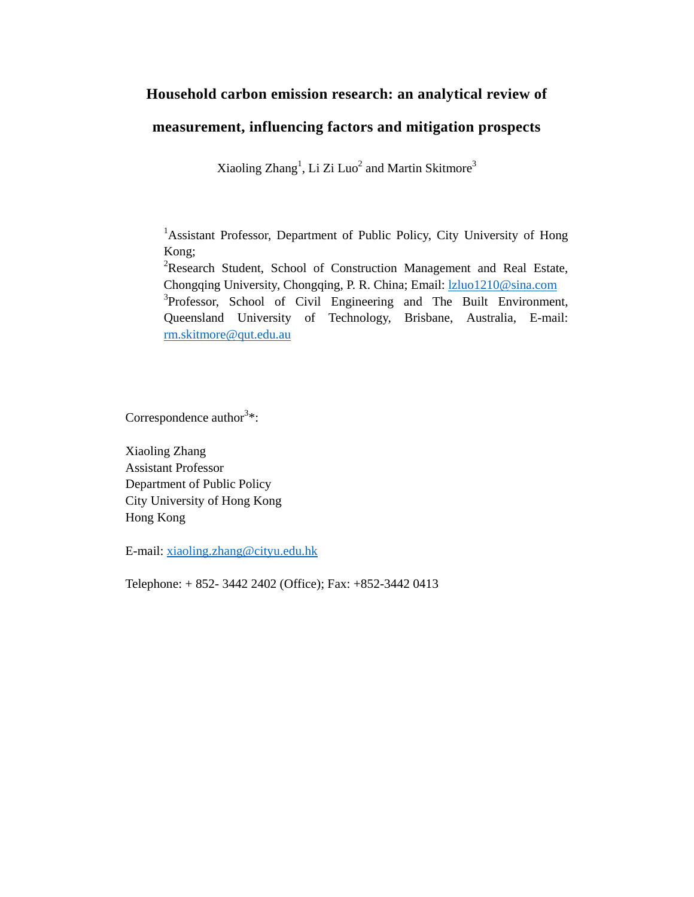# **Household carbon emission research: an analytical review of**

# **measurement, influencing factors and mitigation prospects**

Xiaoling Zhang<sup>1</sup>, Li Zi Luo<sup>2</sup> and Martin Skitmore<sup>3</sup>

<sup>1</sup>Assistant Professor, Department of Public Policy, City University of Hong Kong;

<sup>2</sup>Research Student, School of Construction Management and Real Estate, Chongqing University, Chongqing, P. R. China; Email: lzluo1210@sina.com 3  ${}^{3}$ Professor, School of Civil Engineering and The Built Environment, Queensland University of Technology, Brisbane, Australia, E-mail: rm.skitmore@qut.edu.au

Correspondence author<sup>3\*</sup>:

Xiaoling Zhang Assistant Professor Department of Public Policy City University of Hong Kong Hong Kong

E-mail: xiaoling.zhang@cityu.edu.hk

Telephone: + 852- 3442 2402 (Office); Fax: +852-3442 0413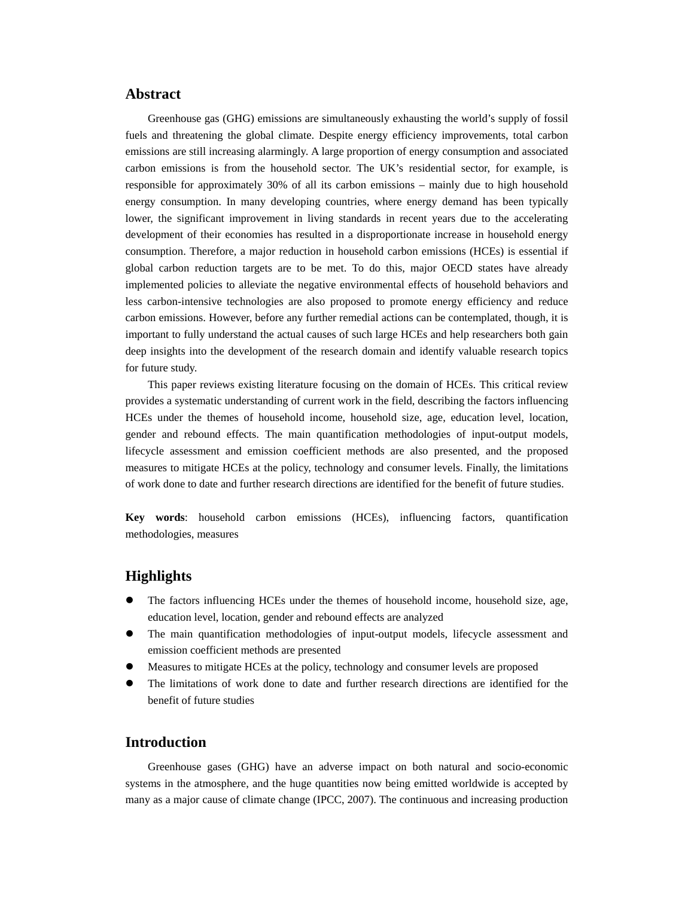# **Abstract**

Greenhouse gas (GHG) emissions are simultaneously exhausting the world's supply of fossil fuels and threatening the global climate. Despite energy efficiency improvements, total carbon emissions are still increasing alarmingly. A large proportion of energy consumption and associated carbon emissions is from the household sector. The UK's residential sector, for example, is responsible for approximately 30% of all its carbon emissions – mainly due to high household energy consumption. In many developing countries, where energy demand has been typically lower, the significant improvement in living standards in recent years due to the accelerating development of their economies has resulted in a disproportionate increase in household energy consumption. Therefore, a major reduction in household carbon emissions (HCEs) is essential if global carbon reduction targets are to be met. To do this, major OECD states have already implemented policies to alleviate the negative environmental effects of household behaviors and less carbon-intensive technologies are also proposed to promote energy efficiency and reduce carbon emissions. However, before any further remedial actions can be contemplated, though, it is important to fully understand the actual causes of such large HCEs and help researchers both gain deep insights into the development of the research domain and identify valuable research topics for future study.

This paper reviews existing literature focusing on the domain of HCEs. This critical review provides a systematic understanding of current work in the field, describing the factors influencing HCEs under the themes of household income, household size, age, education level, location, gender and rebound effects. The main quantification methodologies of input-output models, lifecycle assessment and emission coefficient methods are also presented, and the proposed measures to mitigate HCEs at the policy, technology and consumer levels. Finally, the limitations of work done to date and further research directions are identified for the benefit of future studies.

**Key words**: household carbon emissions (HCEs), influencing factors, quantification methodologies, measures

# **Highlights**

- The factors influencing HCEs under the themes of household income, household size, age, education level, location, gender and rebound effects are analyzed
- The main quantification methodologies of input-output models, lifecycle assessment and emission coefficient methods are presented
- Measures to mitigate HCEs at the policy, technology and consumer levels are proposed
- The limitations of work done to date and further research directions are identified for the benefit of future studies

# **Introduction**

Greenhouse gases (GHG) have an adverse impact on both natural and socio-economic systems in the atmosphere, and the huge quantities now being emitted worldwide is accepted by many as a major cause of climate change (IPCC, 2007). The continuous and increasing production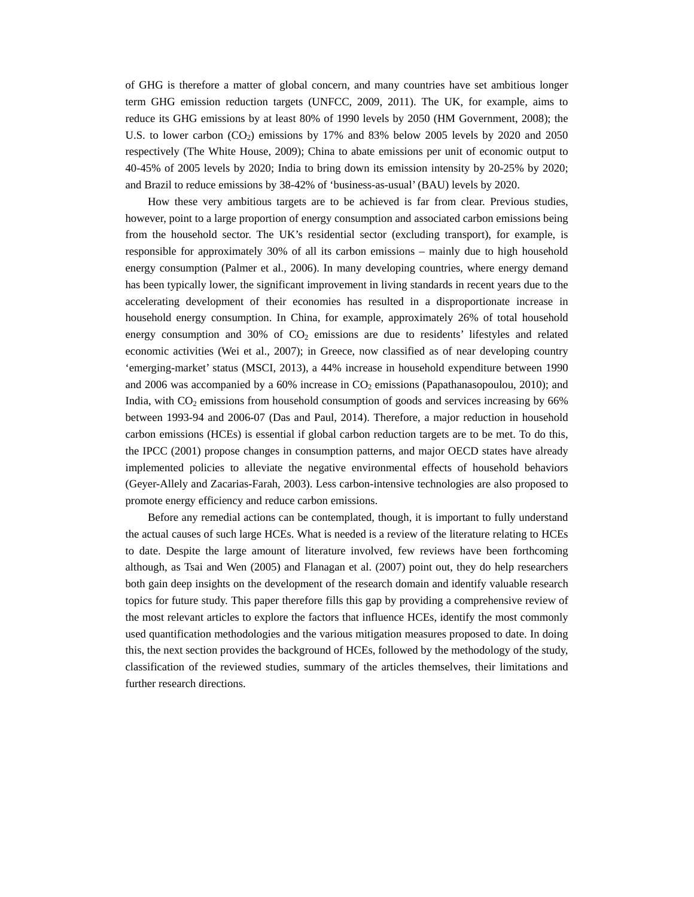of GHG is therefore a matter of global concern, and many countries have set ambitious longer term GHG emission reduction targets (UNFCC, 2009, 2011). The UK, for example, aims to reduce its GHG emissions by at least 80% of 1990 levels by 2050 (HM Government, 2008); the U.S. to lower carbon  $(CO_2)$  emissions by 17% and 83% below 2005 levels by 2020 and 2050 respectively (The White House, 2009); China to abate emissions per unit of economic output to 40-45% of 2005 levels by 2020; India to bring down its emission intensity by 20-25% by 2020; and Brazil to reduce emissions by 38-42% of 'business-as-usual' (BAU) levels by 2020.

How these very ambitious targets are to be achieved is far from clear. Previous studies, however, point to a large proportion of energy consumption and associated carbon emissions being from the household sector. The UK's residential sector (excluding transport), for example, is responsible for approximately 30% of all its carbon emissions – mainly due to high household energy consumption (Palmer et al., 2006). In many developing countries, where energy demand has been typically lower, the significant improvement in living standards in recent years due to the accelerating development of their economies has resulted in a disproportionate increase in household energy consumption. In China, for example, approximately 26% of total household energy consumption and  $30\%$  of  $CO<sub>2</sub>$  emissions are due to residents' lifestyles and related economic activities (Wei et al., 2007); in Greece, now classified as of near developing country 'emerging-market' status (MSCI, 2013), a 44% increase in household expenditure between 1990 and 2006 was accompanied by a  $60\%$  increase in  $CO<sub>2</sub>$  emissions (Papathanasopoulou, 2010); and India, with  $CO<sub>2</sub>$  emissions from household consumption of goods and services increasing by 66% between 1993-94 and 2006-07 (Das and Paul, 2014). Therefore, a major reduction in household carbon emissions (HCEs) is essential if global carbon reduction targets are to be met. To do this, the IPCC (2001) propose changes in consumption patterns, and major OECD states have already implemented policies to alleviate the negative environmental effects of household behaviors (Geyer-Allely and Zacarias-Farah, 2003). Less carbon-intensive technologies are also proposed to promote energy efficiency and reduce carbon emissions.

Before any remedial actions can be contemplated, though, it is important to fully understand the actual causes of such large HCEs. What is needed is a review of the literature relating to HCEs to date. Despite the large amount of literature involved, few reviews have been forthcoming although, as Tsai and Wen (2005) and Flanagan et al. (2007) point out, they do help researchers both gain deep insights on the development of the research domain and identify valuable research topics for future study. This paper therefore fills this gap by providing a comprehensive review of the most relevant articles to explore the factors that influence HCEs, identify the most commonly used quantification methodologies and the various mitigation measures proposed to date. In doing this, the next section provides the background of HCEs, followed by the methodology of the study, classification of the reviewed studies, summary of the articles themselves, their limitations and further research directions.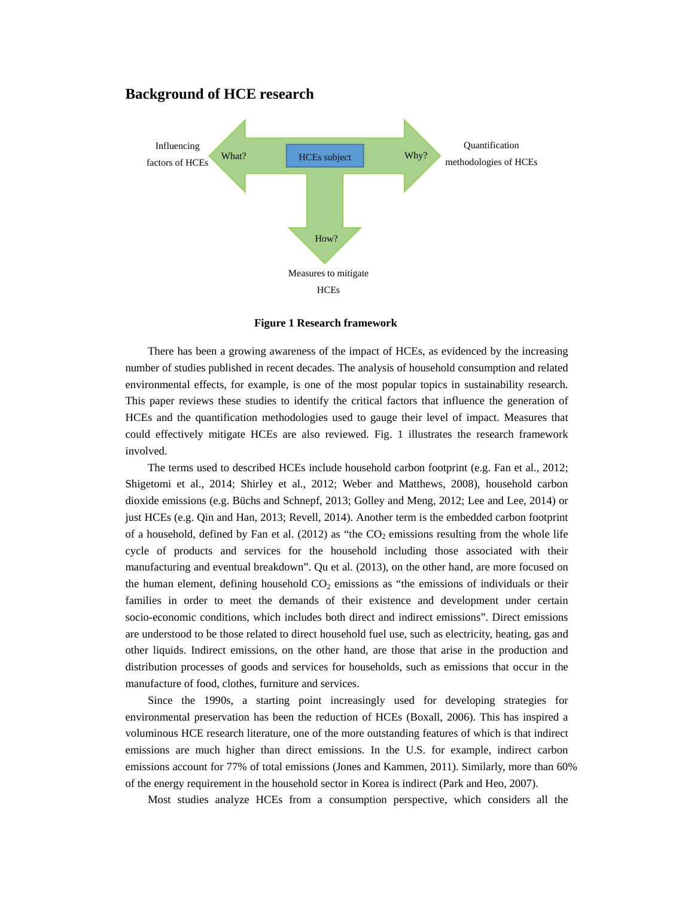## **Background of HCE research**



**Figure 1 Research framework** 

There has been a growing awareness of the impact of HCEs, as evidenced by the increasing number of studies published in recent decades. The analysis of household consumption and related environmental effects, for example, is one of the most popular topics in sustainability research. This paper reviews these studies to identify the critical factors that influence the generation of HCEs and the quantification methodologies used to gauge their level of impact. Measures that could effectively mitigate HCEs are also reviewed. Fig. 1 illustrates the research framework involved.

The terms used to described HCEs include household carbon footprint (e.g. Fan et al., 2012; Shigetomi et al., 2014; Shirley et al., 2012; Weber and Matthews, 2008), household carbon dioxide emissions (e.g. Büchs and Schnepf, 2013; Golley and Meng, 2012; Lee and Lee, 2014) or just HCEs (e.g. Qin and Han, 2013; Revell, 2014). Another term is the embedded carbon footprint of a household, defined by Fan et al.  $(2012)$  as "the  $CO<sub>2</sub>$  emissions resulting from the whole life cycle of products and services for the household including those associated with their manufacturing and eventual breakdown". Qu et al. (2013), on the other hand, are more focused on the human element, defining household  $CO<sub>2</sub>$  emissions as "the emissions of individuals or their families in order to meet the demands of their existence and development under certain socio-economic conditions, which includes both direct and indirect emissions". Direct emissions are understood to be those related to direct household fuel use, such as electricity, heating, gas and other liquids. Indirect emissions, on the other hand, are those that arise in the production and distribution processes of goods and services for households, such as emissions that occur in the manufacture of food, clothes, furniture and services.

Since the 1990s, a starting point increasingly used for developing strategies for environmental preservation has been the reduction of HCEs (Boxall, 2006). This has inspired a voluminous HCE research literature, one of the more outstanding features of which is that indirect emissions are much higher than direct emissions. In the U.S. for example, indirect carbon emissions account for 77% of total emissions (Jones and Kammen, 2011). Similarly, more than 60% of the energy requirement in the household sector in Korea is indirect (Park and Heo, 2007).

Most studies analyze HCEs from a consumption perspective, which considers all the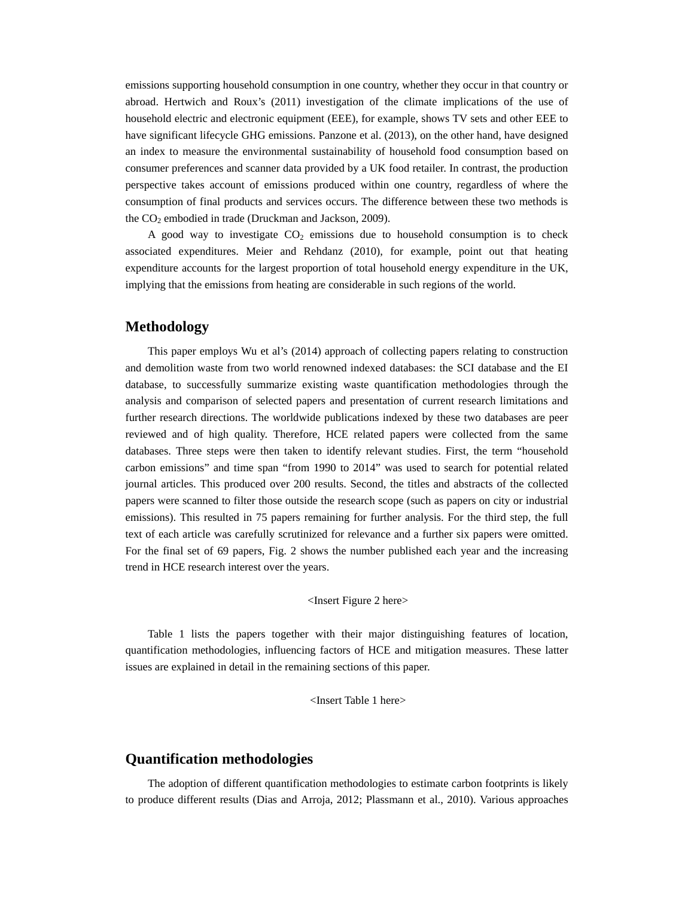emissions supporting household consumption in one country, whether they occur in that country or abroad. Hertwich and Roux's (2011) investigation of the climate implications of the use of household electric and electronic equipment (EEE), for example, shows TV sets and other EEE to have significant lifecycle GHG emissions. Panzone et al. (2013), on the other hand, have designed an index to measure the environmental sustainability of household food consumption based on consumer preferences and scanner data provided by a UK food retailer. In contrast, the production perspective takes account of emissions produced within one country, regardless of where the consumption of final products and services occurs. The difference between these two methods is the CO<sub>2</sub> embodied in trade (Druckman and Jackson, 2009).

A good way to investigate  $CO<sub>2</sub>$  emissions due to household consumption is to check associated expenditures. Meier and Rehdanz (2010), for example, point out that heating expenditure accounts for the largest proportion of total household energy expenditure in the UK, implying that the emissions from heating are considerable in such regions of the world.

## **Methodology**

This paper employs Wu et al's (2014) approach of collecting papers relating to construction and demolition waste from two world renowned indexed databases: the SCI database and the EI database, to successfully summarize existing waste quantification methodologies through the analysis and comparison of selected papers and presentation of current research limitations and further research directions. The worldwide publications indexed by these two databases are peer reviewed and of high quality. Therefore, HCE related papers were collected from the same databases. Three steps were then taken to identify relevant studies. First, the term "household carbon emissions" and time span "from 1990 to 2014" was used to search for potential related journal articles. This produced over 200 results. Second, the titles and abstracts of the collected papers were scanned to filter those outside the research scope (such as papers on city or industrial emissions). This resulted in 75 papers remaining for further analysis. For the third step, the full text of each article was carefully scrutinized for relevance and a further six papers were omitted. For the final set of 69 papers, Fig. 2 shows the number published each year and the increasing trend in HCE research interest over the years.

#### <Insert Figure 2 here>

Table 1 lists the papers together with their major distinguishing features of location, quantification methodologies, influencing factors of HCE and mitigation measures. These latter issues are explained in detail in the remaining sections of this paper.

<Insert Table 1 here>

## **Quantification methodologies**

The adoption of different quantification methodologies to estimate carbon footprints is likely to produce different results (Dias and Arroja, 2012; Plassmann et al., 2010). Various approaches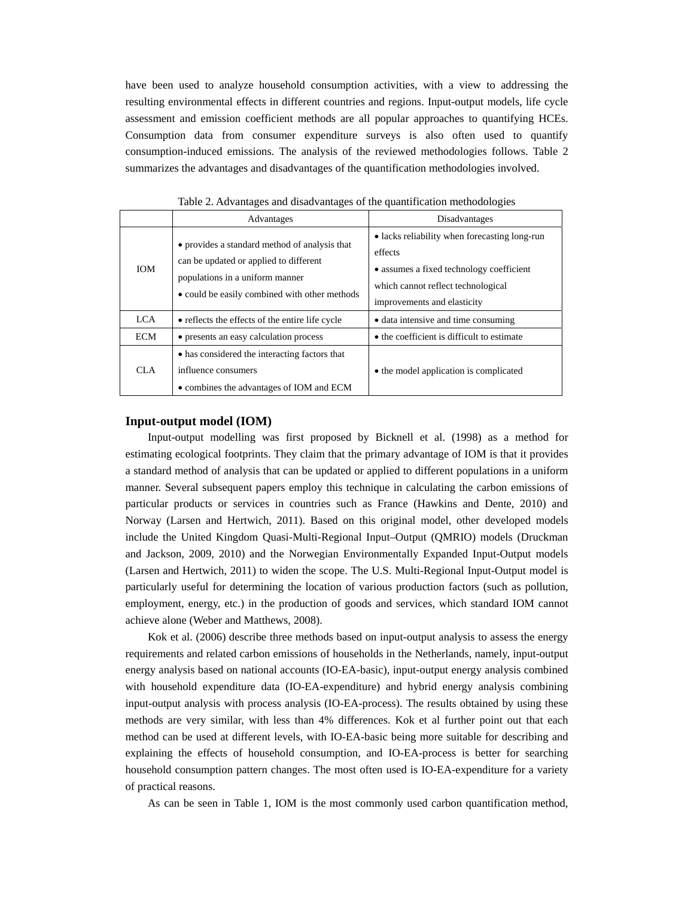have been used to analyze household consumption activities, with a view to addressing the resulting environmental effects in different countries and regions. Input-output models, life cycle assessment and emission coefficient methods are all popular approaches to quantifying HCEs. Consumption data from consumer expenditure surveys is also often used to quantify consumption-induced emissions. The analysis of the reviewed methodologies follows. Table 2 summarizes the advantages and disadvantages of the quantification methodologies involved.

|            | Advantages                                                                                                                                                                  | Disadvantages                                                                                                                                                             |
|------------|-----------------------------------------------------------------------------------------------------------------------------------------------------------------------------|---------------------------------------------------------------------------------------------------------------------------------------------------------------------------|
| <b>IOM</b> | • provides a standard method of analysis that<br>can be updated or applied to different<br>populations in a uniform manner<br>• could be easily combined with other methods | • lacks reliability when forecasting long-run<br>effects<br>• assumes a fixed technology coefficient<br>which cannot reflect technological<br>improvements and elasticity |
| <b>LCA</b> | • reflects the effects of the entire life cycle                                                                                                                             | • data intensive and time consuming                                                                                                                                       |
| <b>ECM</b> | • presents an easy calculation process                                                                                                                                      | • the coefficient is difficult to estimate                                                                                                                                |
| CLA        | • has considered the interacting factors that<br>influence consumers<br>• combines the advantages of IOM and ECM                                                            | • the model application is complicated                                                                                                                                    |

Table 2. Advantages and disadvantages of the quantification methodologies

#### **Input-output model (IOM)**

Input-output modelling was first proposed by Bicknell et al. (1998) as a method for estimating ecological footprints. They claim that the primary advantage of IOM is that it provides a standard method of analysis that can be updated or applied to different populations in a uniform manner. Several subsequent papers employ this technique in calculating the carbon emissions of particular products or services in countries such as France (Hawkins and Dente, 2010) and Norway (Larsen and Hertwich, 2011). Based on this original model, other developed models include the United Kingdom Quasi-Multi-Regional Input–Output (QMRIO) models (Druckman and Jackson, 2009, 2010) and the Norwegian Environmentally Expanded Input-Output models (Larsen and Hertwich, 2011) to widen the scope. The U.S. Multi-Regional Input-Output model is particularly useful for determining the location of various production factors (such as pollution, employment, energy, etc.) in the production of goods and services, which standard IOM cannot achieve alone (Weber and Matthews, 2008).

Kok et al. (2006) describe three methods based on input-output analysis to assess the energy requirements and related carbon emissions of households in the Netherlands, namely, input-output energy analysis based on national accounts (IO-EA-basic), input-output energy analysis combined with household expenditure data (IO-EA-expenditure) and hybrid energy analysis combining input-output analysis with process analysis (IO-EA-process). The results obtained by using these methods are very similar, with less than 4% differences. Kok et al further point out that each method can be used at different levels, with IO-EA-basic being more suitable for describing and explaining the effects of household consumption, and IO-EA-process is better for searching household consumption pattern changes. The most often used is IO-EA-expenditure for a variety of practical reasons.

As can be seen in Table 1, IOM is the most commonly used carbon quantification method,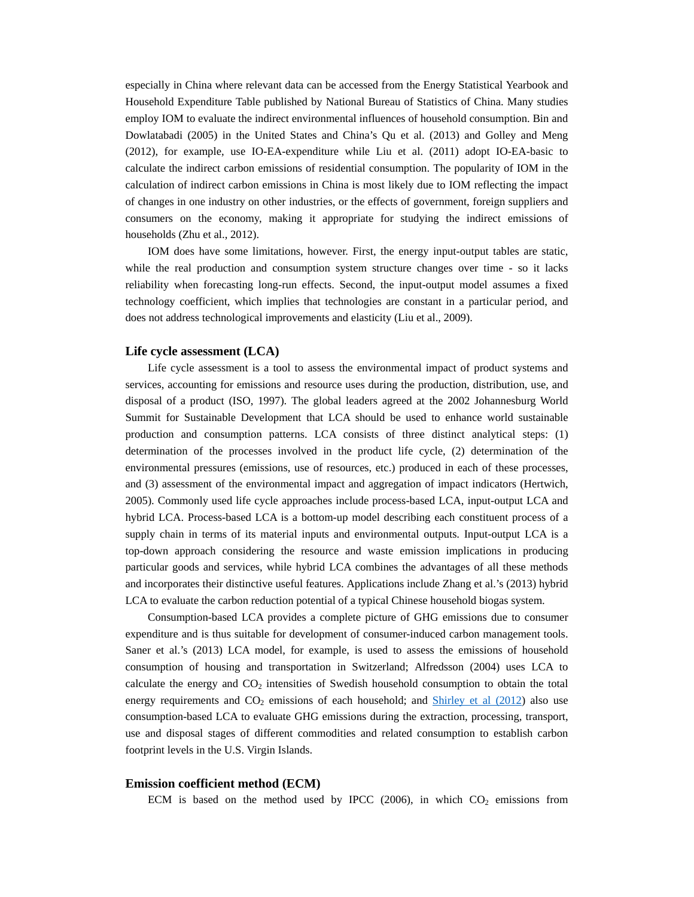especially in China where relevant data can be accessed from the Energy Statistical Yearbook and Household Expenditure Table published by National Bureau of Statistics of China. Many studies employ IOM to evaluate the indirect environmental influences of household consumption. Bin and Dowlatabadi (2005) in the United States and China's Qu et al. (2013) and Golley and Meng (2012), for example, use IO-EA-expenditure while Liu et al. (2011) adopt IO-EA-basic to calculate the indirect carbon emissions of residential consumption. The popularity of IOM in the calculation of indirect carbon emissions in China is most likely due to IOM reflecting the impact of changes in one industry on other industries, or the effects of government, foreign suppliers and consumers on the economy, making it appropriate for studying the indirect emissions of households (Zhu et al., 2012).

IOM does have some limitations, however. First, the energy input-output tables are static, while the real production and consumption system structure changes over time - so it lacks reliability when forecasting long-run effects. Second, the input-output model assumes a fixed technology coefficient, which implies that technologies are constant in a particular period, and does not address technological improvements and elasticity (Liu et al., 2009).

### **Life cycle assessment (LCA)**

Life cycle assessment is a tool to assess the environmental impact of product systems and services, accounting for emissions and resource uses during the production, distribution, use, and disposal of a product (ISO, 1997). The global leaders agreed at the 2002 Johannesburg World Summit for Sustainable Development that LCA should be used to enhance world sustainable production and consumption patterns. LCA consists of three distinct analytical steps: (1) determination of the processes involved in the product life cycle, (2) determination of the environmental pressures (emissions, use of resources, etc.) produced in each of these processes, and (3) assessment of the environmental impact and aggregation of impact indicators (Hertwich, 2005). Commonly used life cycle approaches include process-based LCA, input-output LCA and hybrid LCA. Process-based LCA is a bottom-up model describing each constituent process of a supply chain in terms of its material inputs and environmental outputs. Input-output LCA is a top-down approach considering the resource and waste emission implications in producing particular goods and services, while hybrid LCA combines the advantages of all these methods and incorporates their distinctive useful features. Applications include Zhang et al.'s (2013) hybrid LCA to evaluate the carbon reduction potential of a typical Chinese household biogas system.

Consumption-based LCA provides a complete picture of GHG emissions due to consumer expenditure and is thus suitable for development of consumer-induced carbon management tools. Saner et al.'s (2013) LCA model, for example, is used to assess the emissions of household consumption of housing and transportation in Switzerland; Alfredsson (2004) uses LCA to calculate the energy and  $CO<sub>2</sub>$  intensities of Swedish household consumption to obtain the total energy requirements and  $CO<sub>2</sub>$  emissions of each household; and  $\frac{\text{Shirley et al (2012)}}{\text{Shirley et al (2012)}}$  also use consumption-based LCA to evaluate GHG emissions during the extraction, processing, transport, use and disposal stages of different commodities and related consumption to establish carbon footprint levels in the U.S. Virgin Islands.

## **Emission coefficient method (ECM)**

ECM is based on the method used by IPCC (2006), in which  $CO<sub>2</sub>$  emissions from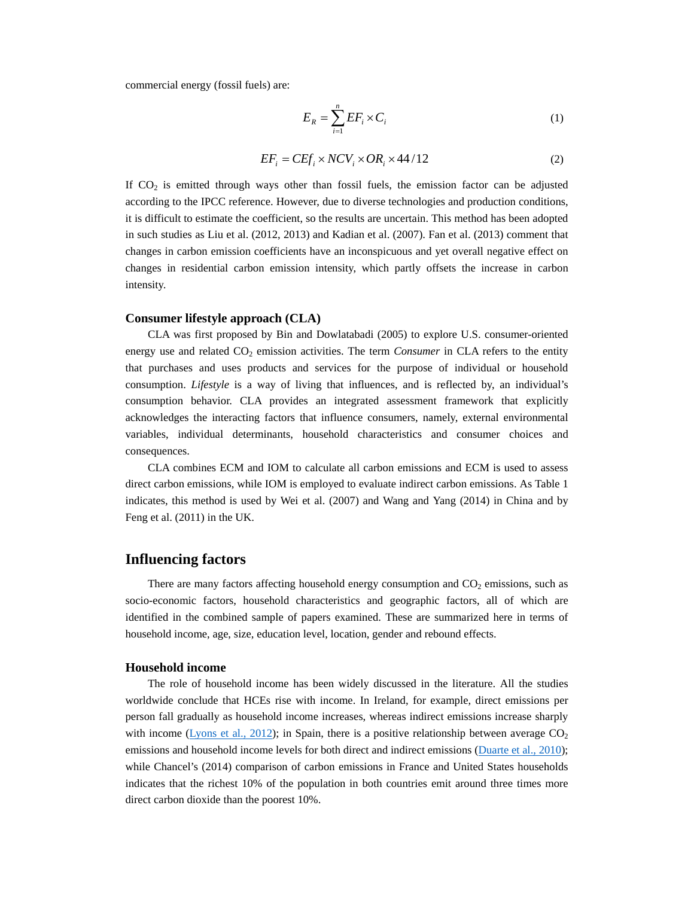commercial energy (fossil fuels) are:

$$
E_R = \sum_{i=1}^{n} EF_i \times C_i
$$
 (1)

$$
EF_i = CEF_i \times NCV_i \times OR_i \times 44/12
$$
 (2)

If  $CO<sub>2</sub>$  is emitted through ways other than fossil fuels, the emission factor can be adjusted according to the IPCC reference. However, due to diverse technologies and production conditions, it is difficult to estimate the coefficient, so the results are uncertain. This method has been adopted in such studies as Liu et al. (2012, 2013) and Kadian et al. (2007). Fan et al. (2013) comment that changes in carbon emission coefficients have an inconspicuous and yet overall negative effect on changes in residential carbon emission intensity, which partly offsets the increase in carbon intensity.

### **Consumer lifestyle approach (CLA)**

CLA was first proposed by Bin and Dowlatabadi (2005) to explore U.S. consumer-oriented energy use and related CO<sub>2</sub> emission activities. The term *Consumer* in CLA refers to the entity that purchases and uses products and services for the purpose of individual or household consumption. *Lifestyle* is a way of living that influences, and is reflected by, an individual's consumption behavior. CLA provides an integrated assessment framework that explicitly acknowledges the interacting factors that influence consumers, namely, external environmental variables, individual determinants, household characteristics and consumer choices and consequences.

CLA combines ECM and IOM to calculate all carbon emissions and ECM is used to assess direct carbon emissions, while IOM is employed to evaluate indirect carbon emissions. As Table 1 indicates, this method is used by Wei et al. (2007) and Wang and Yang (2014) in China and by Feng et al. (2011) in the UK.

# **Influencing factors**

There are many factors affecting household energy consumption and  $CO<sub>2</sub>$  emissions, such as socio-economic factors, household characteristics and geographic factors, all of which are identified in the combined sample of papers examined. These are summarized here in terms of household income, age, size, education level, location, gender and rebound effects.

## **Household income**

The role of household income has been widely discussed in the literature. All the studies worldwide conclude that HCEs rise with income. In Ireland, for example, direct emissions per person fall gradually as household income increases, whereas indirect emissions increase sharply with income ( $Lyons$  et al., 2012); in Spain, there is a positive relationship between average  $CO<sub>2</sub>$ emissions and household income levels for both direct and indirect emissions (Duarte et al., 2010); while Chancel's (2014) comparison of carbon emissions in France and United States households indicates that the richest 10% of the population in both countries emit around three times more direct carbon dioxide than the poorest 10%.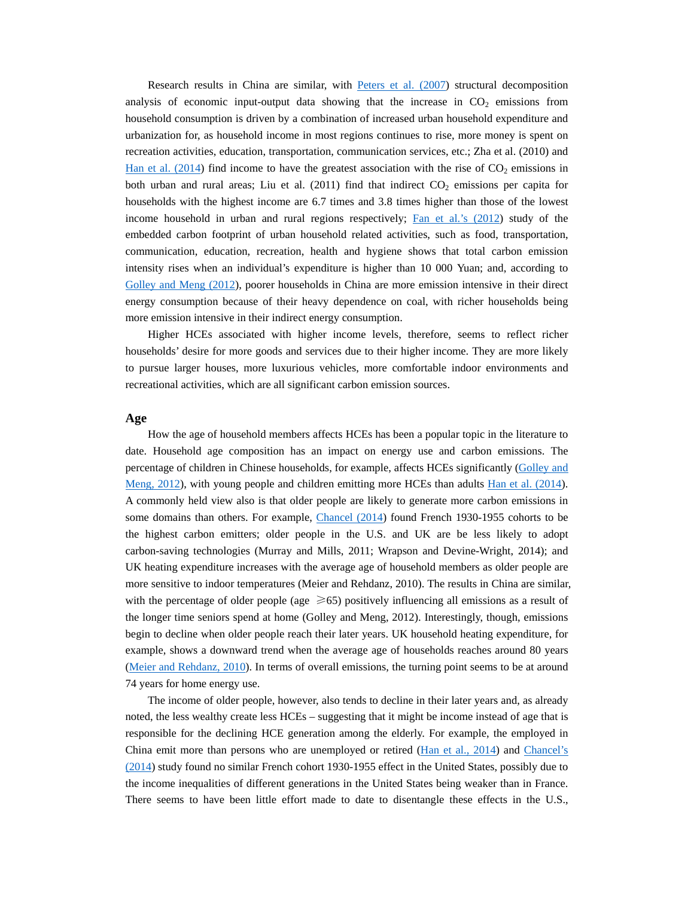Research results in China are similar, with Peters et al. (2007) structural decomposition analysis of economic input-output data showing that the increase in  $CO<sub>2</sub>$  emissions from household consumption is driven by a combination of increased urban household expenditure and urbanization for, as household income in most regions continues to rise, more money is spent on recreation activities, education, transportation, communication services, etc.; Zha et al. (2010) and Han et al.  $(2014)$  find income to have the greatest association with the rise of  $CO<sub>2</sub>$  emissions in both urban and rural areas; Liu et al.  $(2011)$  find that indirect  $CO<sub>2</sub>$  emissions per capita for households with the highest income are 6.7 times and 3.8 times higher than those of the lowest income household in urban and rural regions respectively; Fan et al.'s (2012) study of the embedded carbon footprint of urban household related activities, such as food, transportation, communication, education, recreation, health and hygiene shows that total carbon emission intensity rises when an individual's expenditure is higher than 10 000 Yuan; and, according to Golley and Meng (2012), poorer households in China are more emission intensive in their direct energy consumption because of their heavy dependence on coal, with richer households being more emission intensive in their indirect energy consumption.

Higher HCEs associated with higher income levels, therefore, seems to reflect richer households' desire for more goods and services due to their higher income. They are more likely to pursue larger houses, more luxurious vehicles, more comfortable indoor environments and recreational activities, which are all significant carbon emission sources.

#### **Age**

How the age of household members affects HCEs has been a popular topic in the literature to date. Household age composition has an impact on energy use and carbon emissions. The percentage of children in Chinese households, for example, affects HCEs significantly (Golley and Meng, 2012), with young people and children emitting more HCEs than adults Han et al. (2014). A commonly held view also is that older people are likely to generate more carbon emissions in some domains than others. For example, Chancel (2014) found French 1930-1955 cohorts to be the highest carbon emitters; older people in the U.S. and UK are be less likely to adopt carbon-saving technologies (Murray and Mills, 2011; Wrapson and Devine-Wright, 2014); and UK heating expenditure increases with the average age of household members as older people are more sensitive to indoor temperatures (Meier and Rehdanz, 2010). The results in China are similar, with the percentage of older people (age  $\geq 65$ ) positively influencing all emissions as a result of the longer time seniors spend at home (Golley and Meng, 2012). Interestingly, though, emissions begin to decline when older people reach their later years. UK household heating expenditure, for example, shows a downward trend when the average age of households reaches around 80 years (Meier and Rehdanz, 2010). In terms of overall emissions, the turning point seems to be at around 74 years for home energy use.

The income of older people, however, also tends to decline in their later years and, as already noted, the less wealthy create less HCEs – suggesting that it might be income instead of age that is responsible for the declining HCE generation among the elderly. For example, the employed in China emit more than persons who are unemployed or retired (Han et al., 2014) and Chancel's (2014) study found no similar French cohort 1930-1955 effect in the United States, possibly due to the income inequalities of different generations in the United States being weaker than in France. There seems to have been little effort made to date to disentangle these effects in the U.S.,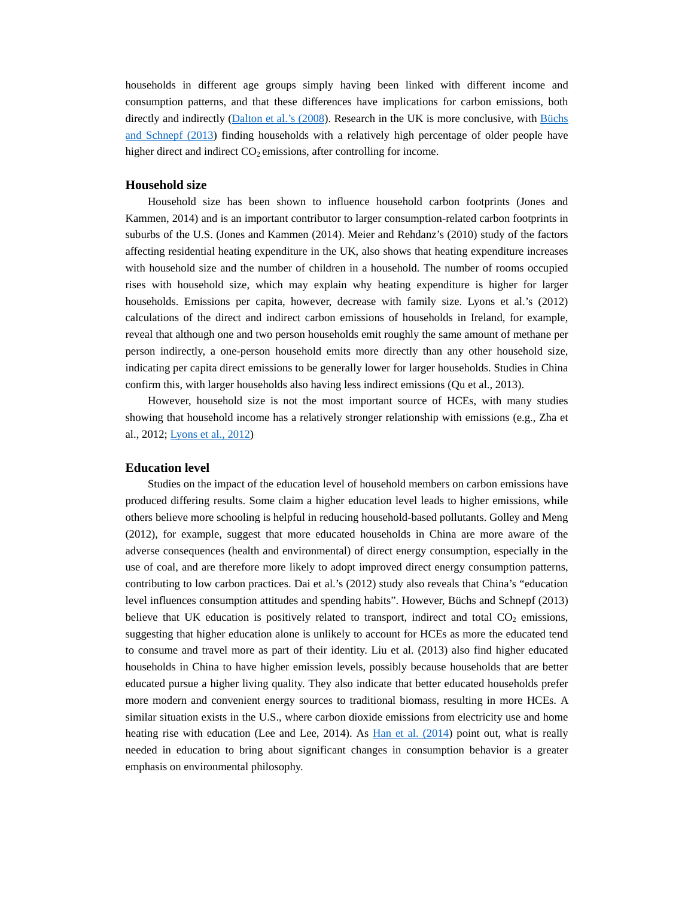households in different age groups simply having been linked with different income and consumption patterns, and that these differences have implications for carbon emissions, both directly and indirectly (Dalton et al.'s (2008). Research in the UK is more conclusive, with Büchs and Schnepf (2013) finding households with a relatively high percentage of older people have higher direct and indirect  $CO<sub>2</sub>$  emissions, after controlling for income.

## **Household size**

Household size has been shown to influence household carbon footprints (Jones and Kammen, 2014) and is an important contributor to larger consumption-related carbon footprints in suburbs of the U.S. (Jones and Kammen (2014). Meier and Rehdanz's (2010) study of the factors affecting residential heating expenditure in the UK, also shows that heating expenditure increases with household size and the number of children in a household. The number of rooms occupied rises with household size, which may explain why heating expenditure is higher for larger households. Emissions per capita, however, decrease with family size. Lyons et al.'s (2012) calculations of the direct and indirect carbon emissions of households in Ireland, for example, reveal that although one and two person households emit roughly the same amount of methane per person indirectly, a one-person household emits more directly than any other household size, indicating per capita direct emissions to be generally lower for larger households. Studies in China confirm this, with larger households also having less indirect emissions (Qu et al., 2013).

However, household size is not the most important source of HCEs, with many studies showing that household income has a relatively stronger relationship with emissions (e.g., Zha et al., 2012; Lyons et al., 2012)

#### **Education level**

Studies on the impact of the education level of household members on carbon emissions have produced differing results. Some claim a higher education level leads to higher emissions, while others believe more schooling is helpful in reducing household-based pollutants. Golley and Meng (2012), for example, suggest that more educated households in China are more aware of the adverse consequences (health and environmental) of direct energy consumption, especially in the use of coal, and are therefore more likely to adopt improved direct energy consumption patterns, contributing to low carbon practices. Dai et al.'s (2012) study also reveals that China's "education level influences consumption attitudes and spending habits". However, Büchs and Schnepf (2013) believe that UK education is positively related to transport, indirect and total  $CO<sub>2</sub>$  emissions, suggesting that higher education alone is unlikely to account for HCEs as more the educated tend to consume and travel more as part of their identity. Liu et al. (2013) also find higher educated households in China to have higher emission levels, possibly because households that are better educated pursue a higher living quality. They also indicate that better educated households prefer more modern and convenient energy sources to traditional biomass, resulting in more HCEs. A similar situation exists in the U.S., where carbon dioxide emissions from electricity use and home heating rise with education (Lee and Lee, 2014). As Han et al. (2014) point out, what is really needed in education to bring about significant changes in consumption behavior is a greater emphasis on environmental philosophy.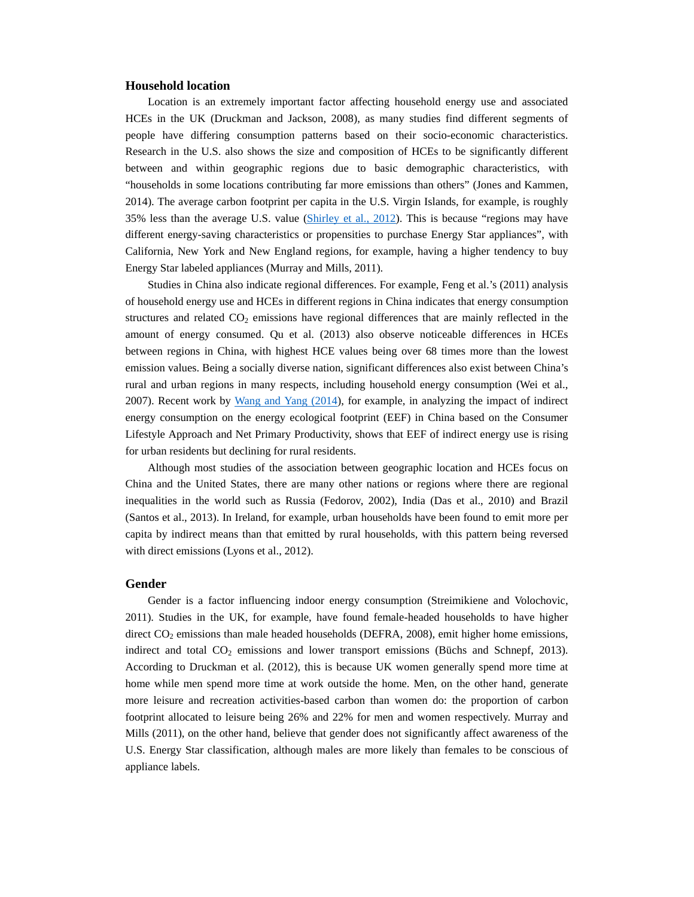## **Household location**

Location is an extremely important factor affecting household energy use and associated HCEs in the UK (Druckman and Jackson, 2008), as many studies find different segments of people have differing consumption patterns based on their socio-economic characteristics. Research in the U.S. also shows the size and composition of HCEs to be significantly different between and within geographic regions due to basic demographic characteristics, with "households in some locations contributing far more emissions than others" (Jones and Kammen, 2014). The average carbon footprint per capita in the U.S. Virgin Islands, for example, is roughly 35% less than the average U.S. value (Shirley et al., 2012). This is because "regions may have different energy-saving characteristics or propensities to purchase Energy Star appliances", with California, New York and New England regions, for example, having a higher tendency to buy Energy Star labeled appliances (Murray and Mills, 2011).

Studies in China also indicate regional differences. For example, Feng et al.'s (2011) analysis of household energy use and HCEs in different regions in China indicates that energy consumption structures and related  $CO<sub>2</sub>$  emissions have regional differences that are mainly reflected in the amount of energy consumed. Qu et al. (2013) also observe noticeable differences in HCEs between regions in China, with highest HCE values being over 68 times more than the lowest emission values. Being a socially diverse nation, significant differences also exist between China's rural and urban regions in many respects, including household energy consumption (Wei et al., 2007). Recent work by Wang and Yang (2014), for example, in analyzing the impact of indirect energy consumption on the energy ecological footprint (EEF) in China based on the Consumer Lifestyle Approach and Net Primary Productivity, shows that EEF of indirect energy use is rising for urban residents but declining for rural residents.

Although most studies of the association between geographic location and HCEs focus on China and the United States, there are many other nations or regions where there are regional inequalities in the world such as Russia (Fedorov, 2002), India (Das et al., 2010) and Brazil (Santos et al., 2013). In Ireland, for example, urban households have been found to emit more per capita by indirect means than that emitted by rural households, with this pattern being reversed with direct emissions (Lyons et al., 2012).

### **Gender**

Gender is a factor influencing indoor energy consumption (Streimikiene and Volochovic, 2011). Studies in the UK, for example, have found female-headed households to have higher direct  $CO<sub>2</sub>$  emissions than male headed households (DEFRA, 2008), emit higher home emissions, indirect and total  $CO<sub>2</sub>$  emissions and lower transport emissions (Büchs and Schnepf, 2013). According to Druckman et al. (2012), this is because UK women generally spend more time at home while men spend more time at work outside the home. Men, on the other hand, generate more leisure and recreation activities-based carbon than women do: the proportion of carbon footprint allocated to leisure being 26% and 22% for men and women respectively. Murray and Mills (2011), on the other hand, believe that gender does not significantly affect awareness of the U.S. Energy Star classification, although males are more likely than females to be conscious of appliance labels.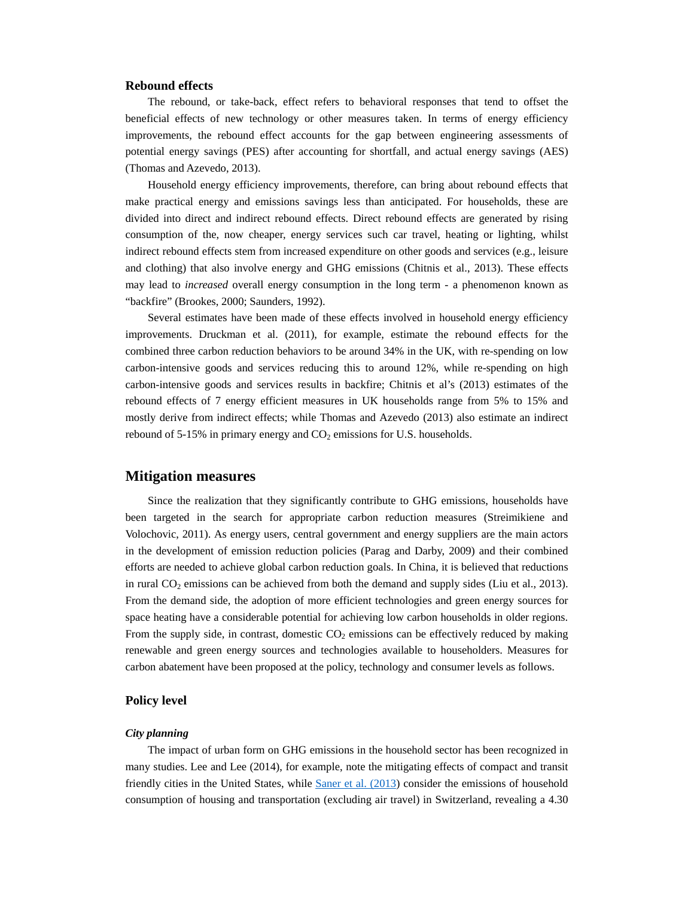## **Rebound effects**

The rebound, or take-back, effect refers to behavioral responses that tend to offset the beneficial effects of new technology or other measures taken. In terms of energy efficiency improvements, the rebound effect accounts for the gap between engineering assessments of potential energy savings (PES) after accounting for shortfall, and actual energy savings (AES) (Thomas and Azevedo, 2013).

Household energy efficiency improvements, therefore, can bring about rebound effects that make practical energy and emissions savings less than anticipated. For households, these are divided into direct and indirect rebound effects. Direct rebound effects are generated by rising consumption of the, now cheaper, energy services such car travel, heating or lighting, whilst indirect rebound effects stem from increased expenditure on other goods and services (e.g., leisure and clothing) that also involve energy and GHG emissions (Chitnis et al., 2013). These effects may lead to *increased* overall energy consumption in the long term - a phenomenon known as "backfire" (Brookes, 2000; Saunders, 1992).

Several estimates have been made of these effects involved in household energy efficiency improvements. Druckman et al. (2011), for example, estimate the rebound effects for the combined three carbon reduction behaviors to be around 34% in the UK, with re-spending on low carbon-intensive goods and services reducing this to around 12%, while re-spending on high carbon-intensive goods and services results in backfire; Chitnis et al's (2013) estimates of the rebound effects of 7 energy efficient measures in UK households range from 5% to 15% and mostly derive from indirect effects; while Thomas and Azevedo (2013) also estimate an indirect rebound of 5-15% in primary energy and  $CO<sub>2</sub>$  emissions for U.S. households.

## **Mitigation measures**

Since the realization that they significantly contribute to GHG emissions, households have been targeted in the search for appropriate carbon reduction measures (Streimikiene and Volochovic, 2011). As energy users, central government and energy suppliers are the main actors in the development of emission reduction policies (Parag and Darby, 2009) and their combined efforts are needed to achieve global carbon reduction goals. In China, it is believed that reductions in rural  $CO<sub>2</sub>$  emissions can be achieved from both the demand and supply sides (Liu et al., 2013). From the demand side, the adoption of more efficient technologies and green energy sources for space heating have a considerable potential for achieving low carbon households in older regions. From the supply side, in contrast, domestic  $CO<sub>2</sub>$  emissions can be effectively reduced by making renewable and green energy sources and technologies available to householders. Measures for carbon abatement have been proposed at the policy, technology and consumer levels as follows.

### **Policy level**

### *City planning*

The impact of urban form on GHG emissions in the household sector has been recognized in many studies. Lee and Lee (2014), for example, note the mitigating effects of compact and transit friendly cities in the United States, while Saner et al. (2013) consider the emissions of household consumption of housing and transportation (excluding air travel) in Switzerland, revealing a 4.30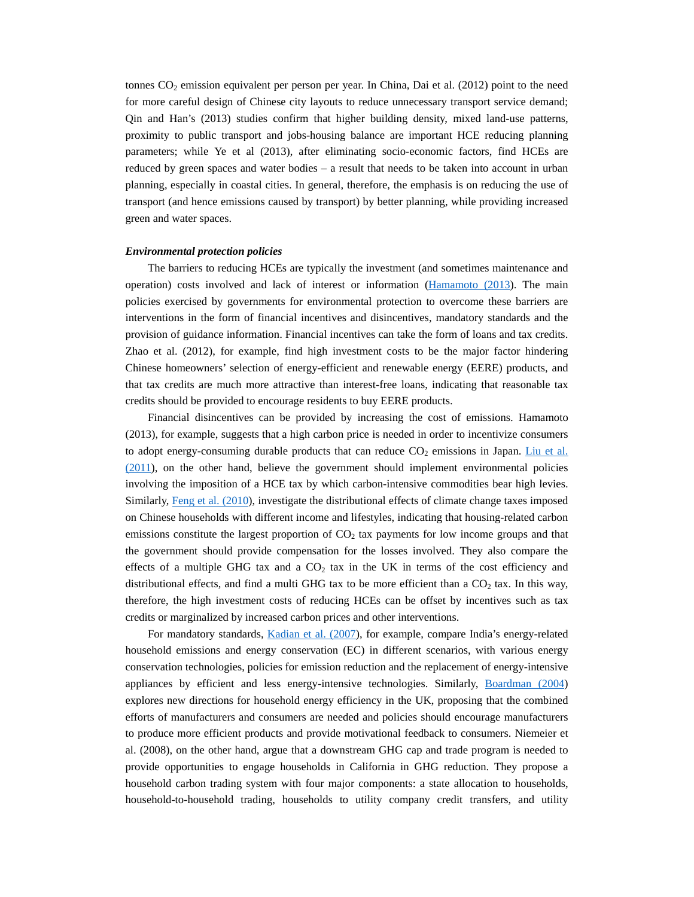tonnes  $CO<sub>2</sub>$  emission equivalent per person per year. In China, Dai et al. (2012) point to the need for more careful design of Chinese city layouts to reduce unnecessary transport service demand; Qin and Han's (2013) studies confirm that higher building density, mixed land-use patterns, proximity to public transport and jobs-housing balance are important HCE reducing planning parameters; while Ye et al (2013), after eliminating socio-economic factors, find HCEs are reduced by green spaces and water bodies – a result that needs to be taken into account in urban planning, especially in coastal cities. In general, therefore, the emphasis is on reducing the use of transport (and hence emissions caused by transport) by better planning, while providing increased green and water spaces.

#### *Environmental protection policies*

The barriers to reducing HCEs are typically the investment (and sometimes maintenance and operation) costs involved and lack of interest or information ( $\frac{\text{Hamamoto}}{\text{Hamamoto}}$ ). The main policies exercised by governments for environmental protection to overcome these barriers are interventions in the form of financial incentives and disincentives, mandatory standards and the provision of guidance information. Financial incentives can take the form of loans and tax credits. Zhao et al. (2012), for example, find high investment costs to be the major factor hindering Chinese homeowners' selection of energy-efficient and renewable energy (EERE) products, and that tax credits are much more attractive than interest-free loans, indicating that reasonable tax credits should be provided to encourage residents to buy EERE products.

Financial disincentives can be provided by increasing the cost of emissions. Hamamoto (2013), for example, suggests that a high carbon price is needed in order to incentivize consumers to adopt energy-consuming durable products that can reduce  $CO<sub>2</sub>$  emissions in Japan. Liu et al. (2011), on the other hand, believe the government should implement environmental policies involving the imposition of a HCE tax by which carbon-intensive commodities bear high levies. Similarly, Feng et al. (2010), investigate the distributional effects of climate change taxes imposed on Chinese households with different income and lifestyles, indicating that housing-related carbon emissions constitute the largest proportion of  $CO<sub>2</sub>$  tax payments for low income groups and that the government should provide compensation for the losses involved. They also compare the effects of a multiple GHG tax and a  $CO<sub>2</sub>$  tax in the UK in terms of the cost efficiency and distributional effects, and find a multi GHG tax to be more efficient than a  $CO<sub>2</sub>$  tax. In this way, therefore, the high investment costs of reducing HCEs can be offset by incentives such as tax credits or marginalized by increased carbon prices and other interventions.

For mandatory standards, Kadian et al. (2007), for example, compare India's energy-related household emissions and energy conservation (EC) in different scenarios, with various energy conservation technologies, policies for emission reduction and the replacement of energy-intensive appliances by efficient and less energy-intensive technologies. Similarly, Boardman (2004) explores new directions for household energy efficiency in the UK, proposing that the combined efforts of manufacturers and consumers are needed and policies should encourage manufacturers to produce more efficient products and provide motivational feedback to consumers. Niemeier et al. (2008), on the other hand, argue that a downstream GHG cap and trade program is needed to provide opportunities to engage households in California in GHG reduction. They propose a household carbon trading system with four major components: a state allocation to households, household-to-household trading, households to utility company credit transfers, and utility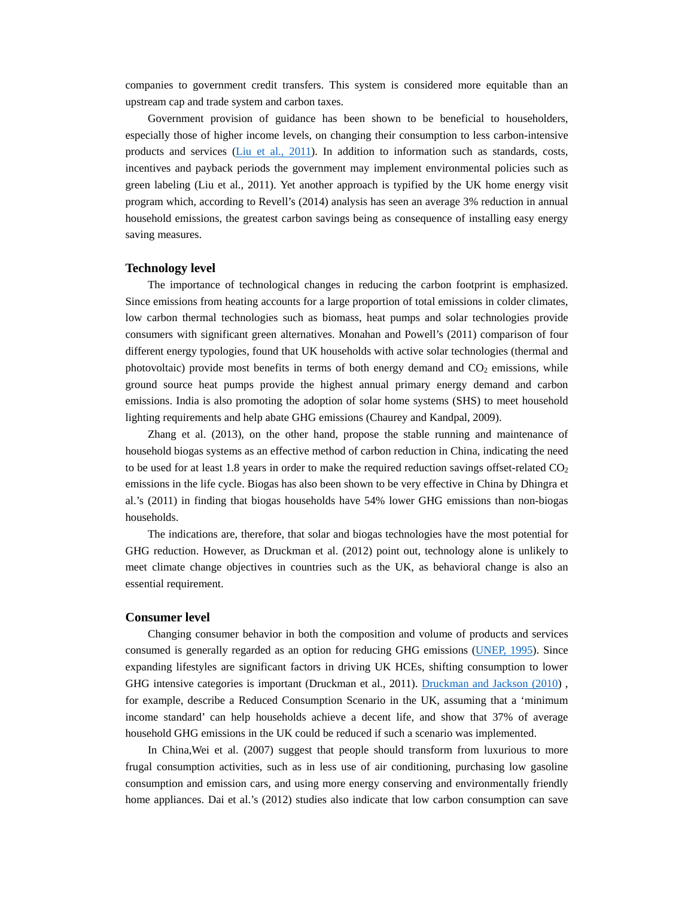companies to government credit transfers. This system is considered more equitable than an upstream cap and trade system and carbon taxes.

Government provision of guidance has been shown to be beneficial to householders, especially those of higher income levels, on changing their consumption to less carbon-intensive products and services (Liu et al., 2011). In addition to information such as standards, costs, incentives and payback periods the government may implement environmental policies such as green labeling (Liu et al., 2011). Yet another approach is typified by the UK home energy visit program which, according to Revell's (2014) analysis has seen an average 3% reduction in annual household emissions, the greatest carbon savings being as consequence of installing easy energy saving measures.

#### **Technology level**

The importance of technological changes in reducing the carbon footprint is emphasized. Since emissions from heating accounts for a large proportion of total emissions in colder climates, low carbon thermal technologies such as biomass, heat pumps and solar technologies provide consumers with significant green alternatives. Monahan and Powell's (2011) comparison of four different energy typologies, found that UK households with active solar technologies (thermal and photovoltaic) provide most benefits in terms of both energy demand and  $CO<sub>2</sub>$  emissions, while ground source heat pumps provide the highest annual primary energy demand and carbon emissions. India is also promoting the adoption of solar home systems (SHS) to meet household lighting requirements and help abate GHG emissions (Chaurey and Kandpal, 2009).

Zhang et al. (2013), on the other hand, propose the stable running and maintenance of household biogas systems as an effective method of carbon reduction in China, indicating the need to be used for at least 1.8 years in order to make the required reduction savings offset-related  $CO<sub>2</sub>$ emissions in the life cycle. Biogas has also been shown to be very effective in China by Dhingra et al.'s (2011) in finding that biogas households have 54% lower GHG emissions than non-biogas households.

The indications are, therefore, that solar and biogas technologies have the most potential for GHG reduction. However, as Druckman et al. (2012) point out, technology alone is unlikely to meet climate change objectives in countries such as the UK, as behavioral change is also an essential requirement.

#### **Consumer level**

Changing consumer behavior in both the composition and volume of products and services consumed is generally regarded as an option for reducing GHG emissions (UNEP, 1995). Since expanding lifestyles are significant factors in driving UK HCEs, shifting consumption to lower GHG intensive categories is important (Druckman et al., 2011). Druckman and Jackson (2010), for example, describe a Reduced Consumption Scenario in the UK, assuming that a 'minimum income standard' can help households achieve a decent life, and show that 37% of average household GHG emissions in the UK could be reduced if such a scenario was implemented.

In China,Wei et al. (2007) suggest that people should transform from luxurious to more frugal consumption activities, such as in less use of air conditioning, purchasing low gasoline consumption and emission cars, and using more energy conserving and environmentally friendly home appliances. Dai et al.'s (2012) studies also indicate that low carbon consumption can save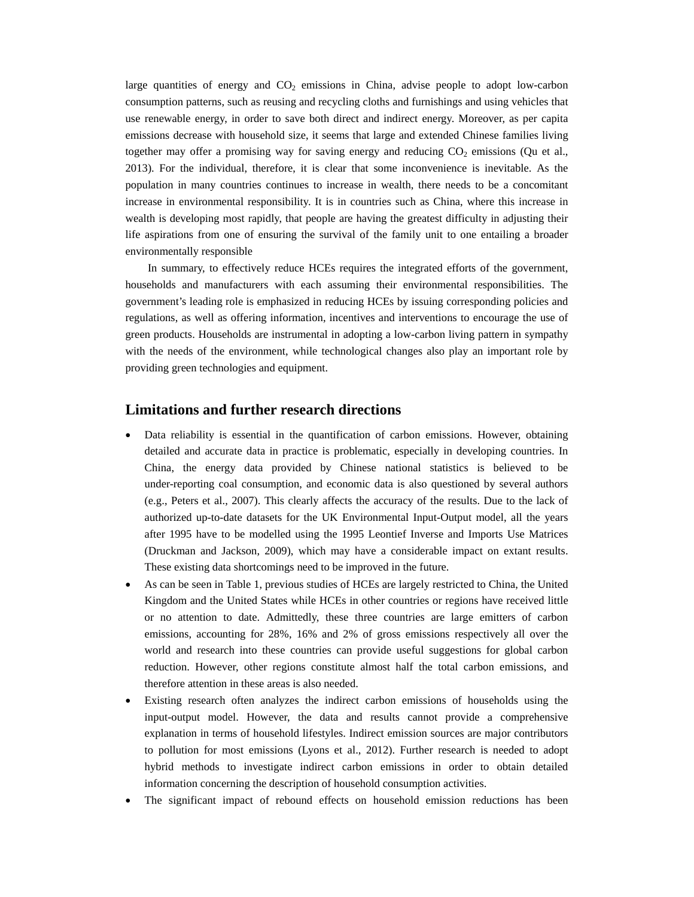large quantities of energy and  $CO<sub>2</sub>$  emissions in China, advise people to adopt low-carbon consumption patterns, such as reusing and recycling cloths and furnishings and using vehicles that use renewable energy, in order to save both direct and indirect energy. Moreover, as per capita emissions decrease with household size, it seems that large and extended Chinese families living together may offer a promising way for saving energy and reducing  $CO<sub>2</sub>$  emissions (Qu et al., 2013). For the individual, therefore, it is clear that some inconvenience is inevitable. As the population in many countries continues to increase in wealth, there needs to be a concomitant increase in environmental responsibility. It is in countries such as China, where this increase in wealth is developing most rapidly, that people are having the greatest difficulty in adjusting their life aspirations from one of ensuring the survival of the family unit to one entailing a broader environmentally responsible

In summary, to effectively reduce HCEs requires the integrated efforts of the government, households and manufacturers with each assuming their environmental responsibilities. The government's leading role is emphasized in reducing HCEs by issuing corresponding policies and regulations, as well as offering information, incentives and interventions to encourage the use of green products. Households are instrumental in adopting a low-carbon living pattern in sympathy with the needs of the environment, while technological changes also play an important role by providing green technologies and equipment.

# **Limitations and further research directions**

- Data reliability is essential in the quantification of carbon emissions. However, obtaining detailed and accurate data in practice is problematic, especially in developing countries. In China, the energy data provided by Chinese national statistics is believed to be under-reporting coal consumption, and economic data is also questioned by several authors (e.g., Peters et al., 2007). This clearly affects the accuracy of the results. Due to the lack of authorized up-to-date datasets for the UK Environmental Input-Output model, all the years after 1995 have to be modelled using the 1995 Leontief Inverse and Imports Use Matrices (Druckman and Jackson, 2009), which may have a considerable impact on extant results. These existing data shortcomings need to be improved in the future.
- As can be seen in Table 1, previous studies of HCEs are largely restricted to China, the United Kingdom and the United States while HCEs in other countries or regions have received little or no attention to date. Admittedly, these three countries are large emitters of carbon emissions, accounting for 28%, 16% and 2% of gross emissions respectively all over the world and research into these countries can provide useful suggestions for global carbon reduction. However, other regions constitute almost half the total carbon emissions, and therefore attention in these areas is also needed.
- Existing research often analyzes the indirect carbon emissions of households using the input-output model. However, the data and results cannot provide a comprehensive explanation in terms of household lifestyles. Indirect emission sources are major contributors to pollution for most emissions (Lyons et al., 2012). Further research is needed to adopt hybrid methods to investigate indirect carbon emissions in order to obtain detailed information concerning the description of household consumption activities.
- The significant impact of rebound effects on household emission reductions has been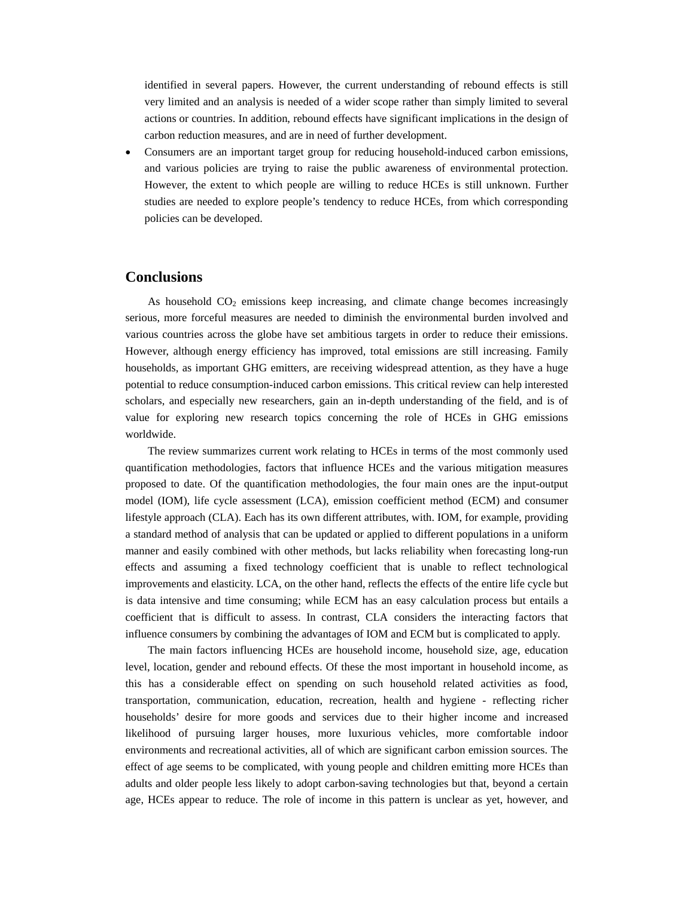identified in several papers. However, the current understanding of rebound effects is still very limited and an analysis is needed of a wider scope rather than simply limited to several actions or countries. In addition, rebound effects have significant implications in the design of carbon reduction measures, and are in need of further development.

 Consumers are an important target group for reducing household-induced carbon emissions, and various policies are trying to raise the public awareness of environmental protection. However, the extent to which people are willing to reduce HCEs is still unknown. Further studies are needed to explore people's tendency to reduce HCEs, from which corresponding policies can be developed.

# **Conclusions**

As household  $CO<sub>2</sub>$  emissions keep increasing, and climate change becomes increasingly serious, more forceful measures are needed to diminish the environmental burden involved and various countries across the globe have set ambitious targets in order to reduce their emissions. However, although energy efficiency has improved, total emissions are still increasing. Family households, as important GHG emitters, are receiving widespread attention, as they have a huge potential to reduce consumption-induced carbon emissions. This critical review can help interested scholars, and especially new researchers, gain an in-depth understanding of the field, and is of value for exploring new research topics concerning the role of HCEs in GHG emissions worldwide.

The review summarizes current work relating to HCEs in terms of the most commonly used quantification methodologies, factors that influence HCEs and the various mitigation measures proposed to date. Of the quantification methodologies, the four main ones are the input-output model (IOM), life cycle assessment (LCA), emission coefficient method (ECM) and consumer lifestyle approach (CLA). Each has its own different attributes, with. IOM, for example, providing a standard method of analysis that can be updated or applied to different populations in a uniform manner and easily combined with other methods, but lacks reliability when forecasting long-run effects and assuming a fixed technology coefficient that is unable to reflect technological improvements and elasticity. LCA, on the other hand, reflects the effects of the entire life cycle but is data intensive and time consuming; while ECM has an easy calculation process but entails a coefficient that is difficult to assess. In contrast, CLA considers the interacting factors that influence consumers by combining the advantages of IOM and ECM but is complicated to apply.

The main factors influencing HCEs are household income, household size, age, education level, location, gender and rebound effects. Of these the most important in household income, as this has a considerable effect on spending on such household related activities as food, transportation, communication, education, recreation, health and hygiene - reflecting richer households' desire for more goods and services due to their higher income and increased likelihood of pursuing larger houses, more luxurious vehicles, more comfortable indoor environments and recreational activities, all of which are significant carbon emission sources. The effect of age seems to be complicated, with young people and children emitting more HCEs than adults and older people less likely to adopt carbon-saving technologies but that, beyond a certain age, HCEs appear to reduce. The role of income in this pattern is unclear as yet, however, and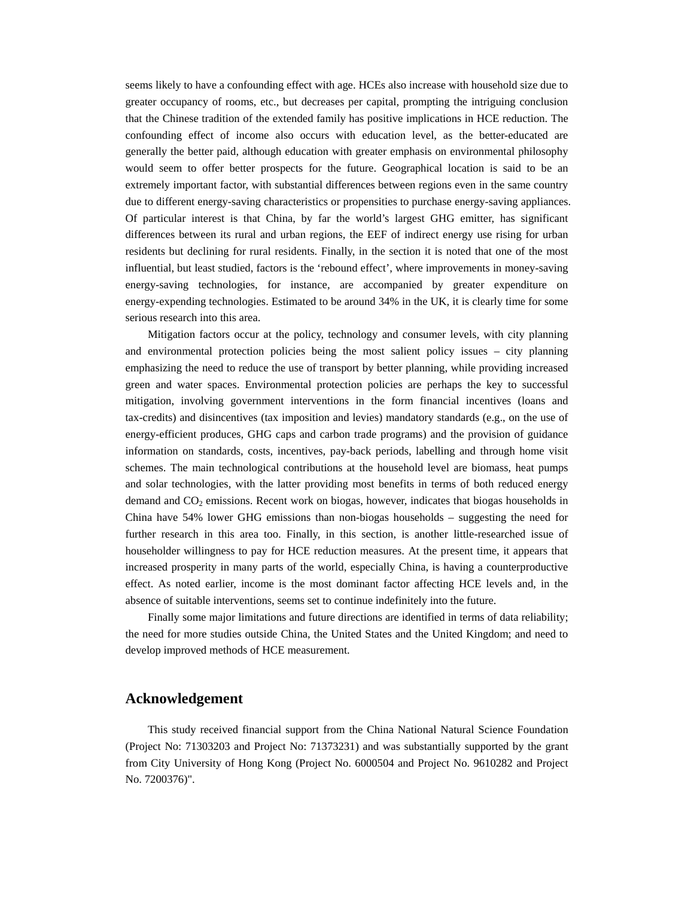seems likely to have a confounding effect with age. HCEs also increase with household size due to greater occupancy of rooms, etc., but decreases per capital, prompting the intriguing conclusion that the Chinese tradition of the extended family has positive implications in HCE reduction. The confounding effect of income also occurs with education level, as the better-educated are generally the better paid, although education with greater emphasis on environmental philosophy would seem to offer better prospects for the future. Geographical location is said to be an extremely important factor, with substantial differences between regions even in the same country due to different energy-saving characteristics or propensities to purchase energy-saving appliances. Of particular interest is that China, by far the world's largest GHG emitter, has significant differences between its rural and urban regions, the EEF of indirect energy use rising for urban residents but declining for rural residents. Finally, in the section it is noted that one of the most influential, but least studied, factors is the 'rebound effect', where improvements in money-saving energy-saving technologies, for instance, are accompanied by greater expenditure on energy-expending technologies. Estimated to be around 34% in the UK, it is clearly time for some serious research into this area.

Mitigation factors occur at the policy, technology and consumer levels, with city planning and environmental protection policies being the most salient policy issues – city planning emphasizing the need to reduce the use of transport by better planning, while providing increased green and water spaces. Environmental protection policies are perhaps the key to successful mitigation, involving government interventions in the form financial incentives (loans and tax-credits) and disincentives (tax imposition and levies) mandatory standards (e.g., on the use of energy-efficient produces, GHG caps and carbon trade programs) and the provision of guidance information on standards, costs, incentives, pay-back periods, labelling and through home visit schemes. The main technological contributions at the household level are biomass, heat pumps and solar technologies, with the latter providing most benefits in terms of both reduced energy demand and  $CO<sub>2</sub>$  emissions. Recent work on biogas, however, indicates that biogas households in China have 54% lower GHG emissions than non-biogas households – suggesting the need for further research in this area too. Finally, in this section, is another little-researched issue of householder willingness to pay for HCE reduction measures. At the present time, it appears that increased prosperity in many parts of the world, especially China, is having a counterproductive effect. As noted earlier, income is the most dominant factor affecting HCE levels and, in the absence of suitable interventions, seems set to continue indefinitely into the future.

Finally some major limitations and future directions are identified in terms of data reliability; the need for more studies outside China, the United States and the United Kingdom; and need to develop improved methods of HCE measurement.

## **Acknowledgement**

This study received financial support from the China National Natural Science Foundation (Project No: 71303203 and Project No: 71373231) and was substantially supported by the grant from City University of Hong Kong (Project No. 6000504 and Project No. 9610282 and Project No. 7200376)".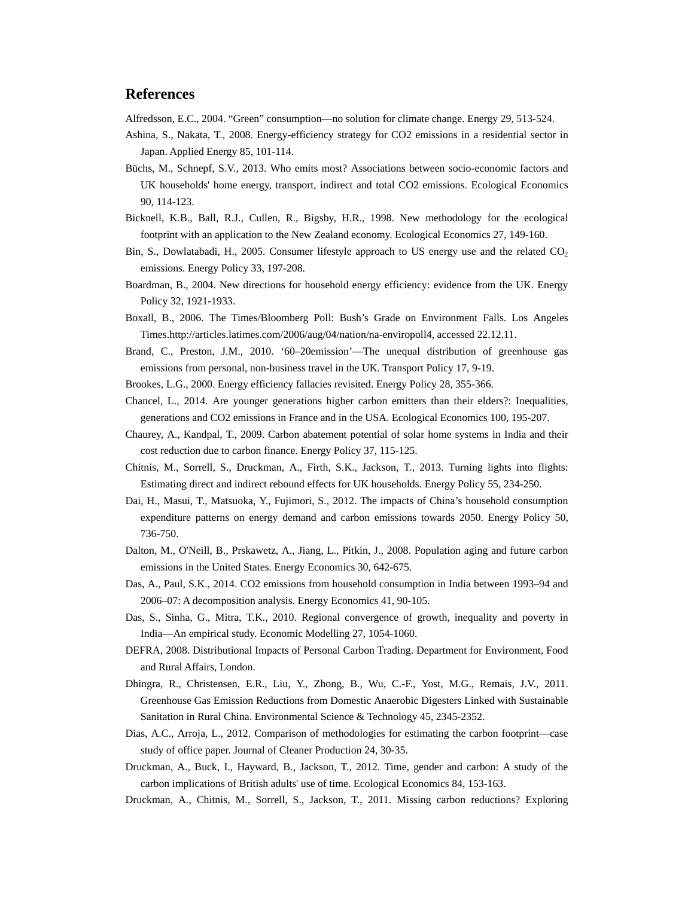# **References**

Alfredsson, E.C., 2004. "Green" consumption—no solution for climate change. Energy 29, 513-524.

- Ashina, S., Nakata, T., 2008. Energy-efficiency strategy for CO2 emissions in a residential sector in Japan. Applied Energy 85, 101-114.
- Büchs, M., Schnepf, S.V., 2013. Who emits most? Associations between socio-economic factors and UK households' home energy, transport, indirect and total CO2 emissions. Ecological Economics 90, 114-123.
- Bicknell, K.B., Ball, R.J., Cullen, R., Bigsby, H.R., 1998. New methodology for the ecological footprint with an application to the New Zealand economy. Ecological Economics 27, 149-160.
- Bin, S., Dowlatabadi, H., 2005. Consumer lifestyle approach to US energy use and the related  $CO<sub>2</sub>$ emissions. Energy Policy 33, 197-208.
- Boardman, B., 2004. New directions for household energy efficiency: evidence from the UK. Energy Policy 32, 1921-1933.
- Boxall, B., 2006. The Times/Bloomberg Poll: Bush's Grade on Environment Falls. Los Angeles Times.http://articles.latimes.com/2006/aug/04/nation/na-enviropoll4, accessed 22.12.11.
- Brand, C., Preston, J.M., 2010. '60–20emission'—The unequal distribution of greenhouse gas emissions from personal, non-business travel in the UK. Transport Policy 17, 9-19.
- Brookes, L.G., 2000. Energy efficiency fallacies revisited. Energy Policy 28, 355-366.
- Chancel, L., 2014. Are younger generations higher carbon emitters than their elders?: Inequalities, generations and CO2 emissions in France and in the USA. Ecological Economics 100, 195-207.
- Chaurey, A., Kandpal, T., 2009. Carbon abatement potential of solar home systems in India and their cost reduction due to carbon finance. Energy Policy 37, 115-125.
- Chitnis, M., Sorrell, S., Druckman, A., Firth, S.K., Jackson, T., 2013. Turning lights into flights: Estimating direct and indirect rebound effects for UK households. Energy Policy 55, 234-250.
- Dai, H., Masui, T., Matsuoka, Y., Fujimori, S., 2012. The impacts of China's household consumption expenditure patterns on energy demand and carbon emissions towards 2050. Energy Policy 50, 736-750.
- Dalton, M., O'Neill, B., Prskawetz, A., Jiang, L., Pitkin, J., 2008. Population aging and future carbon emissions in the United States. Energy Economics 30, 642-675.
- Das, A., Paul, S.K., 2014. CO2 emissions from household consumption in India between 1993–94 and 2006–07: A decomposition analysis. Energy Economics 41, 90-105.
- Das, S., Sinha, G., Mitra, T.K., 2010. Regional convergence of growth, inequality and poverty in India—An empirical study. Economic Modelling 27, 1054-1060.
- DEFRA, 2008. Distributional Impacts of Personal Carbon Trading. Department for Environment, Food and Rural Affairs, London.
- Dhingra, R., Christensen, E.R., Liu, Y., Zhong, B., Wu, C.-F., Yost, M.G., Remais, J.V., 2011. Greenhouse Gas Emission Reductions from Domestic Anaerobic Digesters Linked with Sustainable Sanitation in Rural China. Environmental Science & Technology 45, 2345-2352.
- Dias, A.C., Arroja, L., 2012. Comparison of methodologies for estimating the carbon footprint—case study of office paper. Journal of Cleaner Production 24, 30-35.
- Druckman, A., Buck, I., Hayward, B., Jackson, T., 2012. Time, gender and carbon: A study of the carbon implications of British adults' use of time. Ecological Economics 84, 153-163.
- Druckman, A., Chitnis, M., Sorrell, S., Jackson, T., 2011. Missing carbon reductions? Exploring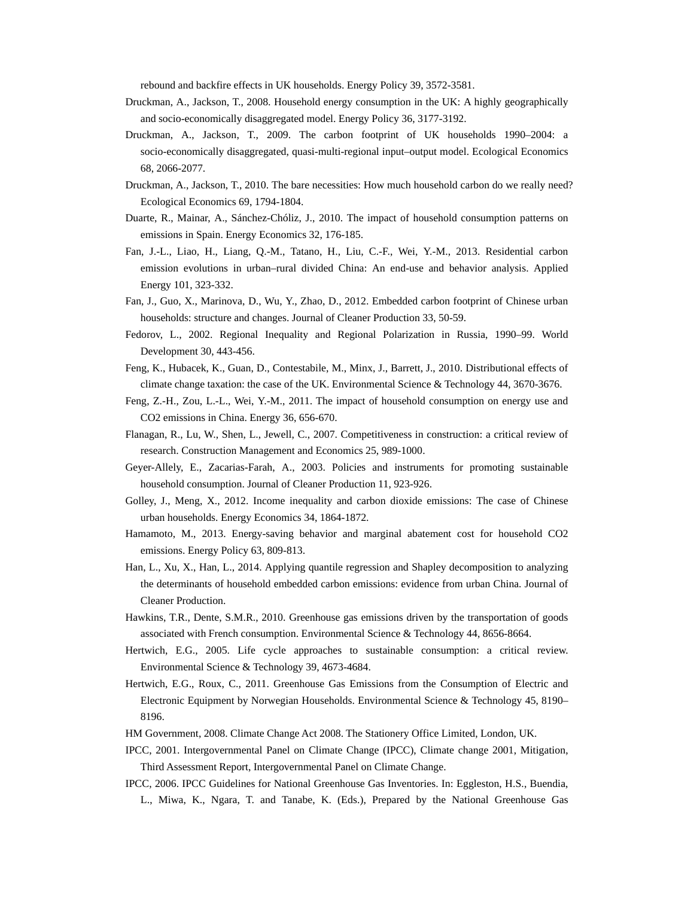rebound and backfire effects in UK households. Energy Policy 39, 3572-3581.

- Druckman, A., Jackson, T., 2008. Household energy consumption in the UK: A highly geographically and socio-economically disaggregated model. Energy Policy 36, 3177-3192.
- Druckman, A., Jackson, T., 2009. The carbon footprint of UK households 1990–2004: a socio-economically disaggregated, quasi-multi-regional input–output model. Ecological Economics 68, 2066-2077.
- Druckman, A., Jackson, T., 2010. The bare necessities: How much household carbon do we really need? Ecological Economics 69, 1794-1804.
- Duarte, R., Mainar, A., Sánchez-Chóliz, J., 2010. The impact of household consumption patterns on emissions in Spain. Energy Economics 32, 176-185.
- Fan, J.-L., Liao, H., Liang, Q.-M., Tatano, H., Liu, C.-F., Wei, Y.-M., 2013. Residential carbon emission evolutions in urban–rural divided China: An end-use and behavior analysis. Applied Energy 101, 323-332.
- Fan, J., Guo, X., Marinova, D., Wu, Y., Zhao, D., 2012. Embedded carbon footprint of Chinese urban households: structure and changes. Journal of Cleaner Production 33, 50-59.
- Fedorov, L., 2002. Regional Inequality and Regional Polarization in Russia, 1990–99. World Development 30, 443-456.
- Feng, K., Hubacek, K., Guan, D., Contestabile, M., Minx, J., Barrett, J., 2010. Distributional effects of climate change taxation: the case of the UK. Environmental Science & Technology 44, 3670-3676.
- Feng, Z.-H., Zou, L.-L., Wei, Y.-M., 2011. The impact of household consumption on energy use and CO2 emissions in China. Energy 36, 656-670.
- Flanagan, R., Lu, W., Shen, L., Jewell, C., 2007. Competitiveness in construction: a critical review of research. Construction Management and Economics 25, 989-1000.
- Geyer-Allely, E., Zacarias-Farah, A., 2003. Policies and instruments for promoting sustainable household consumption. Journal of Cleaner Production 11, 923-926.
- Golley, J., Meng, X., 2012. Income inequality and carbon dioxide emissions: The case of Chinese urban households. Energy Economics 34, 1864-1872.
- Hamamoto, M., 2013. Energy-saving behavior and marginal abatement cost for household CO2 emissions. Energy Policy 63, 809-813.
- Han, L., Xu, X., Han, L., 2014. Applying quantile regression and Shapley decomposition to analyzing the determinants of household embedded carbon emissions: evidence from urban China. Journal of Cleaner Production.
- Hawkins, T.R., Dente, S.M.R., 2010. Greenhouse gas emissions driven by the transportation of goods associated with French consumption. Environmental Science & Technology 44, 8656-8664.
- Hertwich, E.G., 2005. Life cycle approaches to sustainable consumption: a critical review. Environmental Science & Technology 39, 4673-4684.
- Hertwich, E.G., Roux, C., 2011. Greenhouse Gas Emissions from the Consumption of Electric and Electronic Equipment by Norwegian Households. Environmental Science & Technology 45, 8190– 8196.
- HM Government, 2008. Climate Change Act 2008. The Stationery Office Limited, London, UK.
- IPCC, 2001. Intergovernmental Panel on Climate Change (IPCC), Climate change 2001, Mitigation, Third Assessment Report, Intergovernmental Panel on Climate Change.
- IPCC, 2006. IPCC Guidelines for National Greenhouse Gas Inventories. In: Eggleston, H.S., Buendia, L., Miwa, K., Ngara, T. and Tanabe, K. (Eds.), Prepared by the National Greenhouse Gas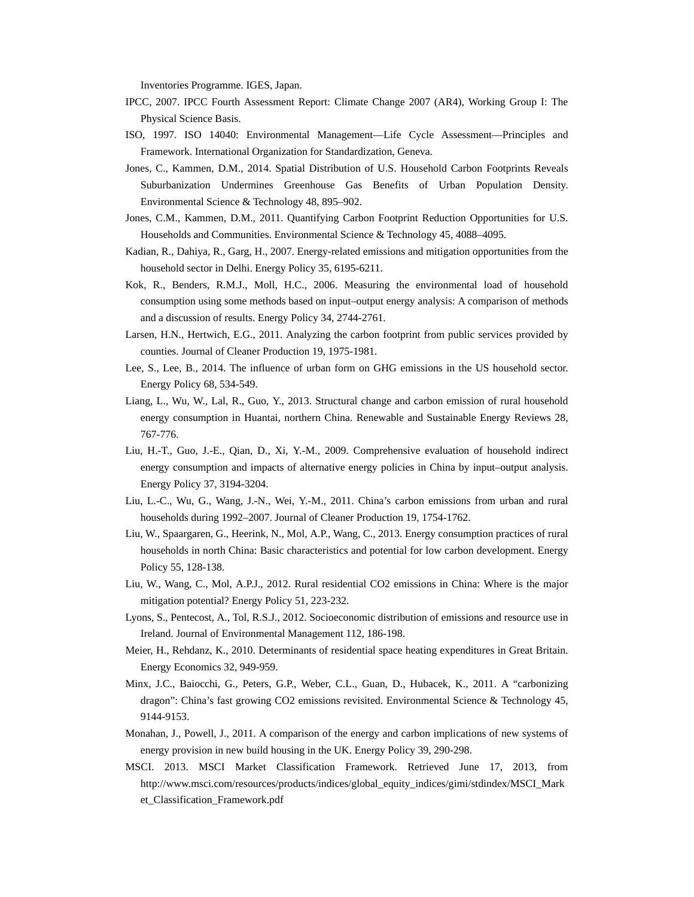Inventories Programme. IGES, Japan.

- IPCC, 2007. IPCC Fourth Assessment Report: Climate Change 2007 (AR4), Working Group I: The Physical Science Basis.
- ISO, 1997. ISO 14040: Environmental Management—Life Cycle Assessment—Principles and Framework. International Organization for Standardization, Geneva.
- Jones, C., Kammen, D.M., 2014. Spatial Distribution of U.S. Household Carbon Footprints Reveals Suburbanization Undermines Greenhouse Gas Benefits of Urban Population Density. Environmental Science & Technology 48, 895–902.
- Jones, C.M., Kammen, D.M., 2011. Quantifying Carbon Footprint Reduction Opportunities for U.S. Households and Communities. Environmental Science & Technology 45, 4088–4095.
- Kadian, R., Dahiya, R., Garg, H., 2007. Energy-related emissions and mitigation opportunities from the household sector in Delhi. Energy Policy 35, 6195-6211.
- Kok, R., Benders, R.M.J., Moll, H.C., 2006. Measuring the environmental load of household consumption using some methods based on input–output energy analysis: A comparison of methods and a discussion of results. Energy Policy 34, 2744-2761.
- Larsen, H.N., Hertwich, E.G., 2011. Analyzing the carbon footprint from public services provided by counties. Journal of Cleaner Production 19, 1975-1981.
- Lee, S., Lee, B., 2014. The influence of urban form on GHG emissions in the US household sector. Energy Policy 68, 534-549.
- Liang, L., Wu, W., Lal, R., Guo, Y., 2013. Structural change and carbon emission of rural household energy consumption in Huantai, northern China. Renewable and Sustainable Energy Reviews 28, 767-776.
- Liu, H.-T., Guo, J.-E., Qian, D., Xi, Y.-M., 2009. Comprehensive evaluation of household indirect energy consumption and impacts of alternative energy policies in China by input–output analysis. Energy Policy 37, 3194-3204.
- Liu, L.-C., Wu, G., Wang, J.-N., Wei, Y.-M., 2011. China's carbon emissions from urban and rural households during 1992–2007. Journal of Cleaner Production 19, 1754-1762.
- Liu, W., Spaargaren, G., Heerink, N., Mol, A.P., Wang, C., 2013. Energy consumption practices of rural households in north China: Basic characteristics and potential for low carbon development. Energy Policy 55, 128-138.
- Liu, W., Wang, C., Mol, A.P.J., 2012. Rural residential CO2 emissions in China: Where is the major mitigation potential? Energy Policy 51, 223-232.
- Lyons, S., Pentecost, A., Tol, R.S.J., 2012. Socioeconomic distribution of emissions and resource use in Ireland. Journal of Environmental Management 112, 186-198.
- Meier, H., Rehdanz, K., 2010. Determinants of residential space heating expenditures in Great Britain. Energy Economics 32, 949-959.
- Minx, J.C., Baiocchi, G., Peters, G.P., Weber, C.L., Guan, D., Hubacek, K., 2011. A "carbonizing dragon": China's fast growing CO2 emissions revisited. Environmental Science & Technology 45, 9144-9153.
- Monahan, J., Powell, J., 2011. A comparison of the energy and carbon implications of new systems of energy provision in new build housing in the UK. Energy Policy 39, 290-298.
- MSCI. 2013. MSCI Market Classification Framework. Retrieved June 17, 2013, from http://www.msci.com/resources/products/indices/global\_equity\_indices/gimi/stdindex/MSCI\_Mark et\_Classification\_Framework.pdf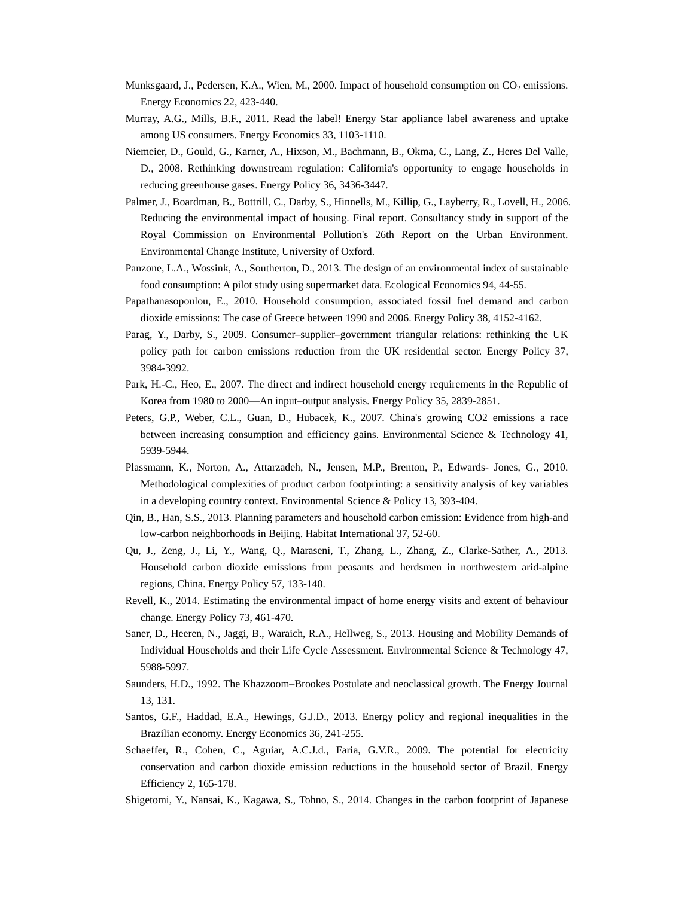- Munksgaard, J., Pedersen, K.A., Wien, M., 2000. Impact of household consumption on CO<sub>2</sub> emissions. Energy Economics 22, 423-440.
- Murray, A.G., Mills, B.F., 2011. Read the label! Energy Star appliance label awareness and uptake among US consumers. Energy Economics 33, 1103-1110.
- Niemeier, D., Gould, G., Karner, A., Hixson, M., Bachmann, B., Okma, C., Lang, Z., Heres Del Valle, D., 2008. Rethinking downstream regulation: California's opportunity to engage households in reducing greenhouse gases. Energy Policy 36, 3436-3447.
- Palmer, J., Boardman, B., Bottrill, C., Darby, S., Hinnells, M., Killip, G., Layberry, R., Lovell, H., 2006. Reducing the environmental impact of housing. Final report. Consultancy study in support of the Royal Commission on Environmental Pollution's 26th Report on the Urban Environment. Environmental Change Institute, University of Oxford.
- Panzone, L.A., Wossink, A., Southerton, D., 2013. The design of an environmental index of sustainable food consumption: A pilot study using supermarket data. Ecological Economics 94, 44-55.
- Papathanasopoulou, E., 2010. Household consumption, associated fossil fuel demand and carbon dioxide emissions: The case of Greece between 1990 and 2006. Energy Policy 38, 4152-4162.
- Parag, Y., Darby, S., 2009. Consumer–supplier–government triangular relations: rethinking the UK policy path for carbon emissions reduction from the UK residential sector. Energy Policy 37, 3984-3992.
- Park, H.-C., Heo, E., 2007. The direct and indirect household energy requirements in the Republic of Korea from 1980 to 2000—An input–output analysis. Energy Policy 35, 2839-2851.
- Peters, G.P., Weber, C.L., Guan, D., Hubacek, K., 2007. China's growing CO2 emissions a race between increasing consumption and efficiency gains. Environmental Science & Technology 41, 5939-5944.
- Plassmann, K., Norton, A., Attarzadeh, N., Jensen, M.P., Brenton, P., Edwards- Jones, G., 2010. Methodological complexities of product carbon footprinting: a sensitivity analysis of key variables in a developing country context. Environmental Science & Policy 13, 393-404.
- Qin, B., Han, S.S., 2013. Planning parameters and household carbon emission: Evidence from high-and low-carbon neighborhoods in Beijing. Habitat International 37, 52-60.
- Qu, J., Zeng, J., Li, Y., Wang, Q., Maraseni, T., Zhang, L., Zhang, Z., Clarke-Sather, A., 2013. Household carbon dioxide emissions from peasants and herdsmen in northwestern arid-alpine regions, China. Energy Policy 57, 133-140.
- Revell, K., 2014. Estimating the environmental impact of home energy visits and extent of behaviour change. Energy Policy 73, 461-470.
- Saner, D., Heeren, N., Jaggi, B., Waraich, R.A., Hellweg, S., 2013. Housing and Mobility Demands of Individual Households and their Life Cycle Assessment. Environmental Science & Technology 47, 5988-5997.
- Saunders, H.D., 1992. The Khazzoom–Brookes Postulate and neoclassical growth. The Energy Journal 13, 131.
- Santos, G.F., Haddad, E.A., Hewings, G.J.D., 2013. Energy policy and regional inequalities in the Brazilian economy. Energy Economics 36, 241-255.
- Schaeffer, R., Cohen, C., Aguiar, A.C.J.d., Faria, G.V.R., 2009. The potential for electricity conservation and carbon dioxide emission reductions in the household sector of Brazil. Energy Efficiency 2, 165-178.
- Shigetomi, Y., Nansai, K., Kagawa, S., Tohno, S., 2014. Changes in the carbon footprint of Japanese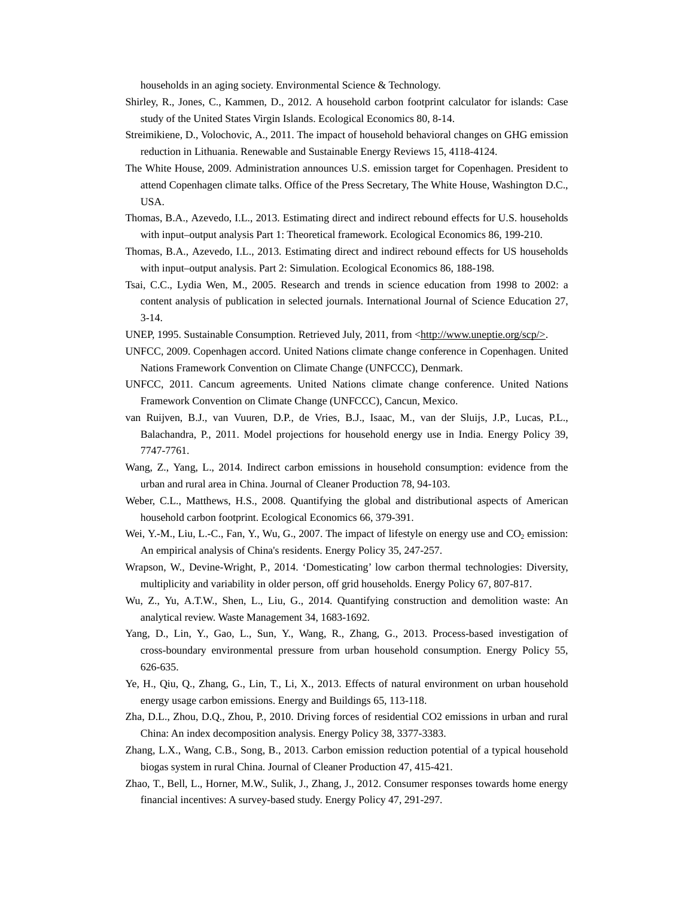households in an aging society. Environmental Science & Technology.

- Shirley, R., Jones, C., Kammen, D., 2012. A household carbon footprint calculator for islands: Case study of the United States Virgin Islands. Ecological Economics 80, 8-14.
- Streimikiene, D., Volochovic, A., 2011. The impact of household behavioral changes on GHG emission reduction in Lithuania. Renewable and Sustainable Energy Reviews 15, 4118-4124.
- The White House, 2009. Administration announces U.S. emission target for Copenhagen. President to attend Copenhagen climate talks. Office of the Press Secretary, The White House, Washington D.C., USA.
- Thomas, B.A., Azevedo, I.L., 2013. Estimating direct and indirect rebound effects for U.S. households with input–output analysis Part 1: Theoretical framework. Ecological Economics 86, 199-210.
- Thomas, B.A., Azevedo, I.L., 2013. Estimating direct and indirect rebound effects for US households with input–output analysis. Part 2: Simulation. Ecological Economics 86, 188-198.
- Tsai, C.C., Lydia Wen, M., 2005. Research and trends in science education from 1998 to 2002: a content analysis of publication in selected journals. International Journal of Science Education 27, 3-14.
- UNEP, 1995. Sustainable Consumption. Retrieved July, 2011, from <http://www.uneptie.org/scp/>.
- UNFCC, 2009. Copenhagen accord. United Nations climate change conference in Copenhagen. United Nations Framework Convention on Climate Change (UNFCCC), Denmark.
- UNFCC, 2011. Cancum agreements. United Nations climate change conference. United Nations Framework Convention on Climate Change (UNFCCC), Cancun, Mexico.
- van Ruijven, B.J., van Vuuren, D.P., de Vries, B.J., Isaac, M., van der Sluijs, J.P., Lucas, P.L., Balachandra, P., 2011. Model projections for household energy use in India. Energy Policy 39, 7747-7761.
- Wang, Z., Yang, L., 2014. Indirect carbon emissions in household consumption: evidence from the urban and rural area in China. Journal of Cleaner Production 78, 94-103.
- Weber, C.L., Matthews, H.S., 2008. Quantifying the global and distributional aspects of American household carbon footprint. Ecological Economics 66, 379-391.
- Wei, Y.-M., Liu, L.-C., Fan, Y., Wu, G., 2007. The impact of lifestyle on energy use and CO<sub>2</sub> emission: An empirical analysis of China's residents. Energy Policy 35, 247-257.
- Wrapson, W., Devine-Wright, P., 2014. 'Domesticating' low carbon thermal technologies: Diversity, multiplicity and variability in older person, off grid households. Energy Policy 67, 807-817.
- Wu, Z., Yu, A.T.W., Shen, L., Liu, G., 2014. Quantifying construction and demolition waste: An analytical review. Waste Management 34, 1683-1692.
- Yang, D., Lin, Y., Gao, L., Sun, Y., Wang, R., Zhang, G., 2013. Process-based investigation of cross-boundary environmental pressure from urban household consumption. Energy Policy 55, 626-635.
- Ye, H., Qiu, Q., Zhang, G., Lin, T., Li, X., 2013. Effects of natural environment on urban household energy usage carbon emissions. Energy and Buildings 65, 113-118.
- Zha, D.L., Zhou, D.Q., Zhou, P., 2010. Driving forces of residential CO2 emissions in urban and rural China: An index decomposition analysis. Energy Policy 38, 3377-3383.
- Zhang, L.X., Wang, C.B., Song, B., 2013. Carbon emission reduction potential of a typical household biogas system in rural China. Journal of Cleaner Production 47, 415-421.
- Zhao, T., Bell, L., Horner, M.W., Sulik, J., Zhang, J., 2012. Consumer responses towards home energy financial incentives: A survey-based study. Energy Policy 47, 291-297.